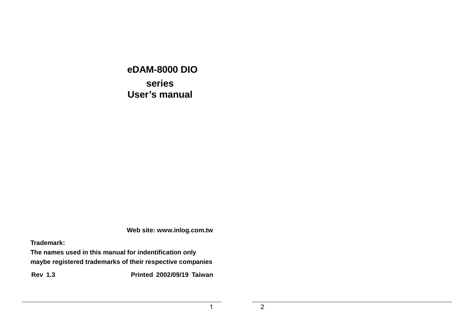**eDAM-8000 DIO series User's manual** 

**Web site: www.inlog.com.tw** 

**Trademark:** 

**The names used in this manual for indentification only maybe registered trademarks of their respective companies** 

**Rev 1.3 Printed 2002/09/19 Taiwan** 

2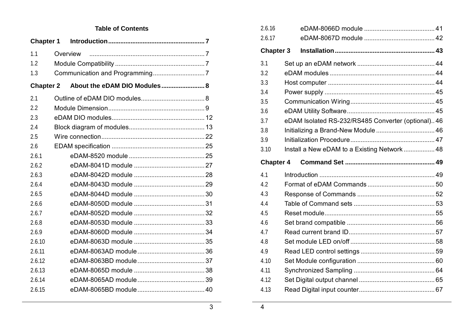### **Table of Contents**

| <b>Chapter 1</b> |          |                              |  |
|------------------|----------|------------------------------|--|
| 1.1              | Overview |                              |  |
| 1.2              |          |                              |  |
| 1.3              |          |                              |  |
| <b>Chapter 2</b> |          | About the eDAM DIO Modules 8 |  |
| 2.1              |          |                              |  |
| 2.2              |          |                              |  |
| 2.3              |          |                              |  |
| 2.4              |          |                              |  |
| 2.5              |          |                              |  |
| 2.6              |          |                              |  |
| 2.6.1            |          |                              |  |
| 2.6.2            |          |                              |  |
| 2.6.3            |          |                              |  |
| 2.6.4            |          |                              |  |
| 2.6.5            |          |                              |  |
| 2.6.6            |          |                              |  |
| 2.6.7            |          |                              |  |
| 2.6.8            |          |                              |  |
| 2.6.9            |          |                              |  |
| 2.6.10           |          |                              |  |
| 2.6.11           |          |                              |  |
| 2.6.12           |          |                              |  |
| 2.6.13           |          |                              |  |
| 2.6.14           |          |                              |  |
| 2.6.15           |          |                              |  |

| 2.6.16           |                                                    |
|------------------|----------------------------------------------------|
| 2.6.17           |                                                    |
| <b>Chapter 3</b> |                                                    |
| 3.1              |                                                    |
| 3.2              |                                                    |
| 3.3              |                                                    |
| 3.4              |                                                    |
| 3.5              |                                                    |
| 3.6              |                                                    |
| 3.7              | eDAM Isolated RS-232/RS485 Converter (optional) 46 |
| 3.8              | Initializing a Brand-New Module  46                |
| 3.9              |                                                    |
| 3.10             | Install a New eDAM to a Existing Network  48       |
| <b>Chapter 4</b> |                                                    |
|                  |                                                    |
| 4.1              |                                                    |
| 4.2              |                                                    |
| 4.3              |                                                    |
| 4.4              |                                                    |
| 4.5              |                                                    |
| 4.6              |                                                    |
| 4.7              |                                                    |
| 4.8              |                                                    |
| 4.9              |                                                    |
| 4.10             |                                                    |
| 4.11             |                                                    |
| 4.12             |                                                    |
| 4.13             |                                                    |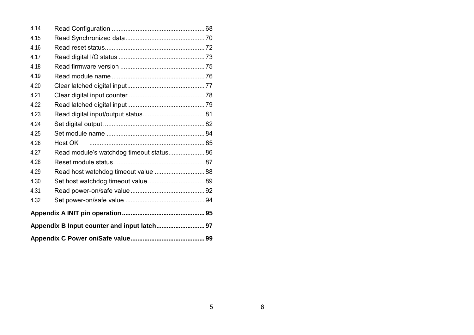| 4.14 |                                          |  |  |  |  |
|------|------------------------------------------|--|--|--|--|
| 4.15 |                                          |  |  |  |  |
| 4.16 |                                          |  |  |  |  |
| 4.17 |                                          |  |  |  |  |
| 4.18 |                                          |  |  |  |  |
| 4.19 |                                          |  |  |  |  |
| 4.20 |                                          |  |  |  |  |
| 4.21 |                                          |  |  |  |  |
| 4.22 |                                          |  |  |  |  |
| 4.23 |                                          |  |  |  |  |
| 4.24 |                                          |  |  |  |  |
| 4.25 |                                          |  |  |  |  |
| 4.26 | Host OK                                  |  |  |  |  |
| 4.27 | Read module's watchdog timeout status 86 |  |  |  |  |
| 4.28 |                                          |  |  |  |  |
| 4.29 | Read host watchdog timeout value  88     |  |  |  |  |
| 4.30 |                                          |  |  |  |  |
| 4.31 |                                          |  |  |  |  |
| 4.32 |                                          |  |  |  |  |
|      |                                          |  |  |  |  |
|      |                                          |  |  |  |  |
|      |                                          |  |  |  |  |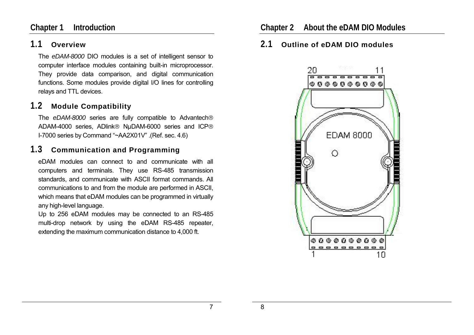### **Chapter 1 Introduction**

### **1.1 Overview**

The *eDAM-8000* DIO modules is a set of intelligent sensor to computer interface modules containing built-in microprocessor. They provide data comparison, and digital communication functions. Some modules provide digital I/O lines for controlling relays and TTL devices.

# **1.2 Module Compatibility**

The *eDAM-8000* series are fully compatible to Advantech ADAM-4000 series, ADlink<sup>®</sup> NuDAM-6000 series and ICP® I-7000 series by Command "~AA2X01V" .(Ref. sec. 4.6)

### **1.3 Communication and Programming**

eDAM modules can connect to and communicate with all computers and terminals. They use RS-485 transmission standards, and communicate with ASCII format commands. All communications to and from the module are performed in ASCII, which means that eDAM modules can be programmed in virtually any high-level language.

Up to 256 eDAM modules may be connected to an RS-485 multi-drop network by using the eDAM RS-485 repeater, extending the maximum communication distance to 4,000 ft.

### **2.1 Outline of eDAM DIO modules**

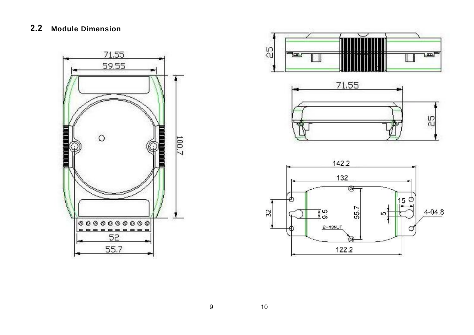### **2.2 Module Dimension**



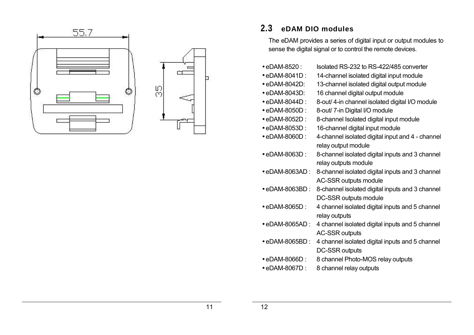

# **2.3 eDAM DIO modules**

The eDAM provides a series of digital input or output modules to sense the digital signal or to control the remote devices.

| • eDAM-8520 :           | Isolated RS-232 to RS-422/485 converter                   |
|-------------------------|-----------------------------------------------------------|
| $\bullet$ eDAM-8041D :  | 14-channel isolated digital input module                  |
| $\bullet$ eDAM-8042D:   | 13-channel isolated digital output module                 |
| • eDAM-8043D:           | 16 channel digital output module                          |
| • eDAM-8044D :          | 8-out/4-in channel isolated digital I/O module            |
| • eDAM-8050D:           | 8-out/ 7-in Digital I/O module                            |
| • eDAM-8052D:           | 8-channel Isolated digital input module                   |
| • eDAM-8053D :          | 16-channel digital input module                           |
| • eDAM-8060D:           | 4-channel isolated digital input and 4 - channel          |
|                         | relay output module                                       |
| • eDAM-8063D:           | 8-channel isolated digital inputs and 3 channel           |
|                         | relay outputs module                                      |
| $\bullet$ eDAM-8063AD : | 8-channel isolated digital inputs and 3 channel           |
|                         | AC-SSR outputs module                                     |
| $\bullet$ eDAM-8063BD : | 8-channel isolated digital inputs and 3 channel           |
|                         | DC-SSR outputs module                                     |
| $\bullet$ eDAM-8065D :  | 4 channel isolated digital inputs and 5 channel           |
|                         | relay outputs                                             |
| • eDAM-8065AD :         | 4 channel isolated digital inputs and 5 channel           |
|                         | <b>AC-SSR outputs</b>                                     |
| • eDAM-8065BD :         | 4 channel isolated digital inputs and 5 channel           |
|                         | DC-SSR outputs<br><u>0 abonnal Dhata MOC rolovautouto</u> |
| ADAM AOCCD.             |                                                           |

• eDAM-8066D : 8 channel Photo-MOS relay outputs

• eDAM-8067D : 8 channel relay outputs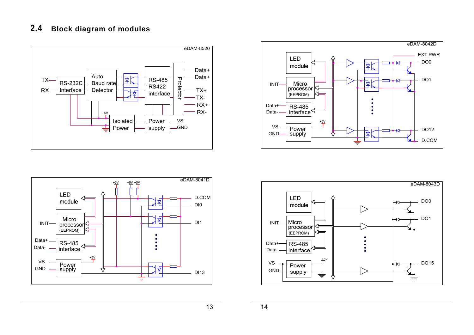### **2.4 Block diagram of modules**









13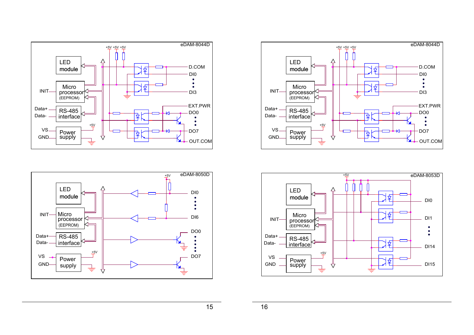





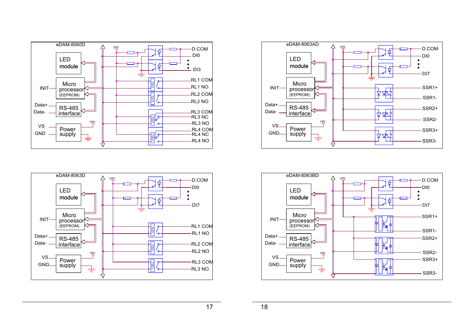





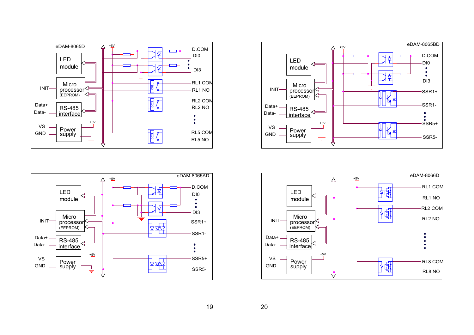





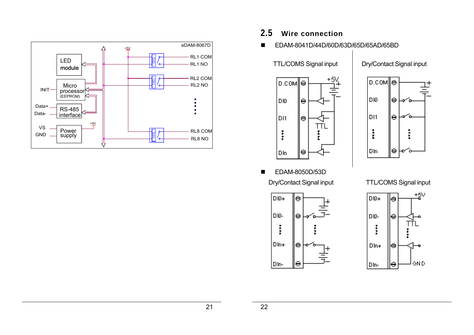

- **2.5 Wire connection**
- EDAM-8041D/44D/60D/63D/65D/65AD/65BD

TTL/COMS Signal input | Dry/Contact Signal input





**EDAM-8050D/53D** 





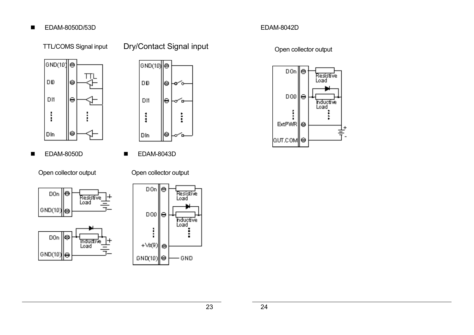#### ■ EDAM-8050D/53D

### TTL/COMS Signal input Dry/Contact Signal input





■ EDAM-8050D ■ EDAM-8043D

Open collector output Open collector output







# EDAM-8042D

Open collector output

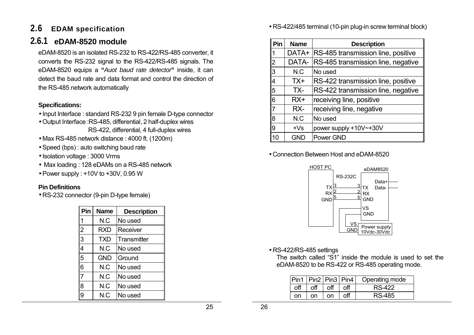# **2.6 EDAM specification**

# **2.6.1 eDAM-8520 module**

eDAM-8520 is an isolated RS-232 to RS-422/RS-485 converter, it converts the RS-232 signal to the RS-422/RS-485 signals. The eDAM-8520 equips a **"***Auot baud rate detector***"** inside, it can detect the baud rate and data format and control the direction of the RS-485 network automatically

### **Specifications:**

- Input Interface : standard RS-232 9 pin female D-type connector
- Output Interface :RS-485, differential, 2 half-duplex wires RS-422, differential, 4 full-duplex wires
- Max RS-485 network distance : 4000 ft. (1200m)
- Speed (bps) : auto switching baud rate
- Isolation voltage : 3000 Vrms
- Max loading : 128 eDAMs on a RS-485 network
- Power supply : +10V to +30V, 0.95 W

### **Pin Definitions**

• RS-232 connector (9-pin D-type female)

| Pin            | <b>Name</b> | <b>Description</b> |
|----------------|-------------|--------------------|
|                | N.C         | No used            |
| $\overline{c}$ | <b>RXD</b>  | Receiver           |
| 3              | <b>TXD</b>  | Transmitter        |
| 4              | N.C         | No used            |
| 5              | <b>GND</b>  | Ground             |
| 6              | N.C         | No used            |
|                | N.C         | No used            |
| 8              | N.C         | No used            |
|                | N.C         | No used            |

• RS-422/485 terminal (10-pin plug-in screw terminal block)

| Pin            | <b>Name</b> | <b>Description</b>                 |
|----------------|-------------|------------------------------------|
|                | DATA+       | RS-485 transmission line, positive |
| $\overline{2}$ | DATA-       | RS-485 transmission line, negative |
| 3              | N.C         | No used                            |
| 4              | TX+         | RS-422 transmission line, positive |
| 5              | TX-         | RS-422 transmission line, negative |
| 6              | $RX+$       | receiving line, positive           |
| 7              | RX-         | receiving line, negative           |
| 8              | N.C         | No used                            |
| 9              | $+Vs$       | power supply +10V~+30V             |
| n              | GND         | Power GND                          |

• Connection Between Host and eDAM-8520



• RS-422/RS-485 settings

The switch called "S1" inside the module is used to set the eDAM-8520 to be RS-422 or RS-485 operating mode.

| Pin1 Pin2 Pin3 Pin4 |     |       | Operating mode |
|---------------------|-----|-------|----------------|
| off                 | off | l off | <b>RS-422</b>  |
| nn                  | nn  | on    | RS-485         |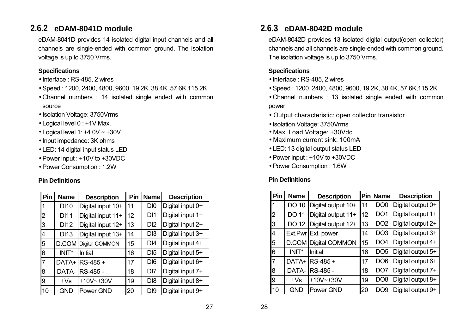# **2.6.2 eDAM-8041D module**

eDAM-8041D provides 14 isolated digital input channels and all channels are single-ended with common ground. The isolation voltage is up to 3750 Vrms.

### **Specifications**

- Interface : RS-485, 2 wires
- Speed : 1200, 2400, 4800, 9600, 19.2K, 38.4K, 57.6K,115.2K
- Channel numbers : 14 isolated single ended with common source
- Isolation Voltage: 3750Vrms
- Logical level 0 : +1V Max.
- Logical level 1: +4.0V ~ +30V
- Input impedance: 3K ohms
- LED: 14 digital input status LED
- Power input : +10V to +30VDC
- Power Consumption : 1.2W

### **Pin Definitions**

| Pin            | <b>Name</b> | <b>Description</b> | Pin | <b>Name</b>     | <b>Description</b> |
|----------------|-------------|--------------------|-----|-----------------|--------------------|
|                | <b>DI10</b> | Digital input 10+  | 11  | D <sub>I0</sub> | Digital input 0+   |
| $\overline{2}$ | <b>DI11</b> | Digital input 11+  | 12  | DI1             | Digital input 1+   |
| l3             | <b>DI12</b> | Digital input 12+  | 13  | D <sub>12</sub> | Digital input 2+   |
| 14             | <b>DI13</b> | Digital input 13+  | 14  | D <sub>13</sub> | Digital input 3+   |
| $\overline{5}$ | D.COM       | Digital COMMON     | 15  | DI4             | Digital input 4+   |
| 16             | INIT*       | <b>Initial</b>     | 16  | D <sub>15</sub> | Digital input 5+   |
| 117            | DATA+       | $RS-485 +$         | 17  | D <sub>16</sub> | Digital input 6+   |
| 8              | DATA-       | RS-485 -           | 18  | D <sub>17</sub> | Digital input 7+   |
| ll9            | $+Vs$       | $+10V$ $-+30V$     | 19  | D <sub>18</sub> | Digital input 8+   |
| 110            | <b>GND</b>  | Power GND          | 20  | D <sub>19</sub> | Digital input 9+   |

# **2.6.3 eDAM-8042D module**

eDAM-8042D provides 13 isolated digital output(open collector) channels and all channels are single-ended with common ground. The isolation voltage is up to 3750 Vrms.

### **Specifications**

- Interface : RS-485, 2 wires
- Speed : 1200, 2400, 4800, 9600, 19.2K, 38.4K, 57.6K,115.2K
- Channel numbers : 13 isolated single ended with common power
- Output characteristic: open collector transistor
- Isolation Voltage: 3750Vrms
- Max. Load Voltage: +30Vdc
- Maximum current sink: 100mA
- LED: 13 digital output status LED
- Power input : +10V to +30VDC
- Power Consumption : 1.6W

| Pin            | <b>Name</b>  | <b>Description</b>    |    | <b>Pin Name</b> | <b>Description</b> |
|----------------|--------------|-----------------------|----|-----------------|--------------------|
| 1              | <b>DO 10</b> | Digital output 10+    | 11 | DO <sub>0</sub> | Digital output 0+  |
| $\overline{2}$ | <b>DO 11</b> | Digital output 11+    | 12 | DO <sub>1</sub> | Digital output 1+  |
| 3              | DO 12        | Digital output 12+    | 13 | DO <sub>2</sub> | Digital output 2+  |
| 4              |              | Ext.Pwr Ext. power    | 14 | DO <sub>3</sub> | Digital output 3+  |
| 5              | D.COM        | <b>Digital COMMON</b> | 15 | DO <sub>4</sub> | Digital output 4+  |
| 6              | INIT*        | Initial               | 16 | DO <sub>5</sub> | Digital output 5+  |
| $\overline{7}$ | DATA+        | RS-485+               | 17 | DO <sub>6</sub> | Digital output 6+  |
| 8              | DATA-        | RS-485 -              | 18 | DO <sub>7</sub> | Digital output 7+  |
| 9              | $+Vs$        | $+10V$ $-+30V$        | 19 | DO <sub>8</sub> | Digital output 8+  |
| 10             | <b>GND</b>   | Power GND             | 20 | DO <sub>9</sub> | Digital output 9+  |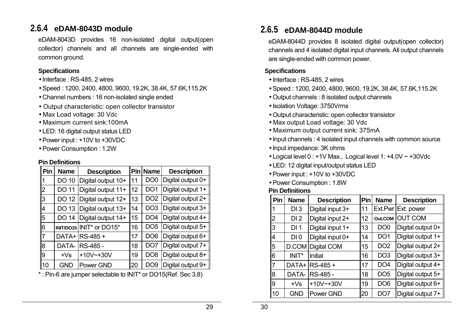# **2.6.4 eDAM-8043D module**

eDAM-8043D provides 16 non-isolated digital output(open collector) channels and all channels are single-ended with common ground.

### **Specifications**

- Interface : RS-485, 2 wires
- Speed : 1200, 2400, 4800, 9600, 19.2K, 38.4K, 57.6K,115.2K
- Channel numbers : 16 non-isolated single ended
- Output characteristic: open collector transistor
- Max Load voltage: 30 Vdc
- Maximum current sink:100mA
- LED: 16 digital output status LED
- Power input : +10V to +30VDC
- Power Consumption : 1.2W

#### **Pin Definitions**

| Pin            | <b>Name</b> | <b>Description</b> | lPin | <b>Name</b>     | <b>Description</b> |
|----------------|-------------|--------------------|------|-----------------|--------------------|
|                | DO 10       | Digital output 10+ | 11   | DO0             | Digital output 0+  |
| $\overline{2}$ | DO 11       | Digital output 11+ | 12   | DO <sub>1</sub> | Digital output 1+  |
| l3             | DO 12       | Digital output 12+ | 13   | DO <sub>2</sub> | Digital output 2+  |
| 14             | DO 13       | Digital output 13+ | 14   | DO3             | Digital output 3+  |
| 5              | DO 14       | Digital output 14+ | 15   | DO4             | Digital output 4+  |
| 6              | INIT/DO15   | INIT* or DO15*     | 16   | DO <sub>5</sub> | Digital output 5+  |
| 117            | DATA+       | RS-485 +           | 17   | DO6             | Digital output 6+  |
| l8             | DATA-       | RS-485 -           | 18   | DO <sub>7</sub> | Digital output 7+  |
| 19             | $+Vs$       | $+10V$ $-+30V$     | 19   | DO8             | Digital output 8+  |
| 10             | <b>GND</b>  | Power GND          | 20   | DO9             | Digital output 9+  |

\* : Pin-6 are jumper selectable to INIT\* or DO15(Ref. Sec 3.8)

# **2.6.5 eDAM-8044D module**

eDAM-8044D provides 8 isolated digital output(open collector) channels and 4 isolated digital input channels. All output channels are single-ended with common power.

### **Specifications**

- Interface : RS-485, 2 wires
- Speed : 1200, 2400, 4800, 9600, 19.2K, 38.4K, 57.6K,115.2K
- Output channels : 8 isolated output channels
- Isolation Voltage: 3750Vrms
- Output characteristic: open collector transistor
- Max output Load voltage: 30 Vdc
- Maximum output current sink: 375mA
- Input channels : 4 isolated input channels with common source
- Input impedance: 3K ohms
- Logical level 0 : +1V Max., Logical level 1: +4.0V ~ +30Vdc
- LED: 12 digital input/output status LED
- Power input : +10V to +30VDC
- Power Consumption : 1.8W

| Pin            | <b>Name</b>     | <b>Description</b> | Pin | <b>Name</b>     | <b>Description</b> |
|----------------|-----------------|--------------------|-----|-----------------|--------------------|
|                | DI3             | Digital input 3+   | 11  |                 | Ext.Pwr Ext. power |
| $\overline{2}$ | DI <sub>2</sub> | Digital input 2+   | 12  | Out.COM         | <b>OUT COM</b>     |
| 3              | DI <sub>1</sub> | Digital input 1+   | 13  | DO <sub>0</sub> | Digital output 0+  |
| 4              | DI <sub>0</sub> | Digital input 0+   | 14  | DO <sub>1</sub> | Digital output 1+  |
| 5              | D.COM           | Digital COM        | 15  | DO <sub>2</sub> | Digital output 2+  |
| 6              | INIT*           | Initial            | 16  | DO <sub>3</sub> | Digital output 3+  |
| $\overline{7}$ | DATA+           | RS-485 +           | 17  | DO <sub>4</sub> | Digital output 4+  |
| 8              | DATA-           | RS-485 -           | 18  | DO <sub>5</sub> | Digital output 5+  |
| 9              | $+Vs$           | $+10V$ $-+30V$     | 19  | DO <sub>6</sub> | Digital output 6+  |
| 10             | <b>GND</b>      | Power GND          | 20  | DO <sub>7</sub> | Digital output 7+  |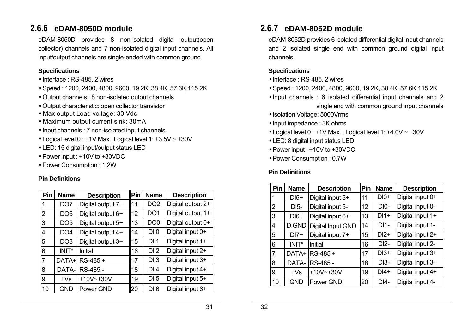# **2.6.6 eDAM-8050D module**

eDAM-8050D provides 8 non-isolated digital output(open collector) channels and 7 non-isolated digital input channels. All input/output channels are single-ended with common ground.

#### **Specifications**

- Interface : RS-485, 2 wires
- Speed : 1200, 2400, 4800, 9600, 19.2K, 38.4K, 57.6K,115.2K
- Output channels : 8 non-isolated output channels
- Output characteristic: open collector transistor
- Max output Load voltage: 30 Vdc
- Maximum output current sink: 30mA
- Input channels : 7 non-isolated input channels
- Logical level 0 : +1V Max., Logical level 1: +3.5V ~ +30V
- LED: 15 digital input/output status LED
- Power input : +10V to +30VDC
- Power Consumption : 1.2W

### **Pin Definitions**

| Pin            | <b>Name</b>     | <b>Description</b> | Pin | <b>Name</b>     | <b>Description</b> |
|----------------|-----------------|--------------------|-----|-----------------|--------------------|
|                | DO <sub>7</sub> | Digital output 7+  | 11  | DO <sub>2</sub> | Digital output 2+  |
| $\overline{2}$ | DO <sub>6</sub> | Digital output 6+  | 12  | DO <sub>1</sub> | Digital output 1+  |
| 3              | DO <sub>5</sub> | Digital output 5+  | 13  | DO <sub>0</sub> | Digital output 0+  |
| 14             | DO <sub>4</sub> | Digital output 4+  | 14  | DI <sub>0</sub> | Digital input 0+   |
| 5              | DO <sub>3</sub> | Digital output 3+  | 15  | DI <sub>1</sub> | Digital input 1+   |
| l6             | INIT*           | Initial            | 16  | DI <sub>2</sub> | Digital input 2+   |
| 17             | DATA+           | RS-485 +           | 17  | DI3             | Digital input 3+   |
| 8              | DATA-           | RS-485 -           | 18  | DI4             | Digital input 4+   |
| 9              | $+Vs$           | $+10V$ $-+30V$     | 19  | DI <sub>5</sub> | Digital input 5+   |
| 10             | <b>GND</b>      | Power GND          | 20  | DI6             | Digital input 6+   |

# **2.6.7 eDAM-8052D module**

eDAM-8052D provides 6 isolated differential digital input channels and 2 isolated single end with common ground digital input channels.

### **Specifications**

- Interface : RS-485, 2 wires
- Speed : 1200, 2400, 4800, 9600, 19.2K, 38.4K, 57.6K,115.2K
- Input channels : 6 isolated differential input channels and 2 single end with common ground input channels
- Isolation Voltage: 5000Vrms
- Input impedance : 3K ohms
- Logical level 0 : +1V Max., Logical level 1: +4.0V ~ +30V
- LED: 8 digital input status LED
- Power input : +10V to +30VDC
- Power Consumption : 0.7W

| Pin            | <b>Name</b> | <b>Description</b> | Pin | <b>Name</b>                | <b>Description</b> |  |
|----------------|-------------|--------------------|-----|----------------------------|--------------------|--|
|                | $DI5+$      | Digital input 5+   | 11  | $DI0+$                     | Digital input 0+   |  |
| 2              | <b>DI5-</b> | Digital input 5-   | 12  | $DIO-$                     | Digital input 0-   |  |
| 3              | $DI6+$      | Digital input 6+   | 13  | $DI1+$                     | Digital input 1+   |  |
| 4              | D.GND       | Digital Input GND  | 14  | $DI1-$                     | Digital input 1-   |  |
| 5              | $DI7+$      | Digital input 7+   | 15  | $DI2+$                     | Digital input 2+   |  |
| 6              | INIT*       | Initial            | 16  | $DI2-$                     | Digital input 2-   |  |
| $\overline{7}$ | DATA+       | RS-485+            | 17  | $DI3+$                     | Digital input 3+   |  |
| 8              | DATA-       | RS-485 -           | 18  | $DI3-$                     | Digital input 3-   |  |
| 9              | $+Vs$       | $+10V$ $-+30V$     | 19  | Digital input 4+<br>$DI4+$ |                    |  |
| 10             | <b>GND</b>  | Power GND          | 20  | Digital input 4-<br>$DI4-$ |                    |  |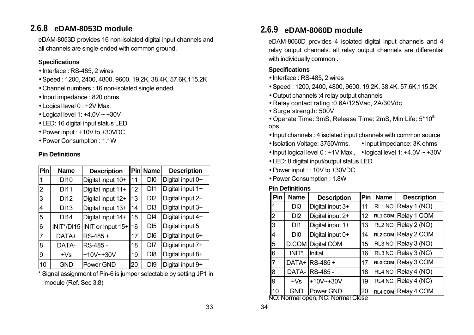# **2.6.8 eDAM-8053D module**

eDAM-8053D provides 16 non-isolated digital input channels and all channels are single-ended with common ground.

### **Specifications**

- Interface : RS-485, 2 wires
- Speed : 1200, 2400, 4800, 9600, 19.2K, 38.4K, 57.6K,115.2K
- Channel numbers : 16 non-isolated single ended
- Input impedance : 820 ohms
- Logical level 0 : +2V Max.
- Logical level 1: +4.0V ~ +30V
- LED: 16 digital input status LED
- Power input : +10V to +30VDC
- Power Consumption : 1.1W

### **Pin Definitions**

| <b>Pin</b>     | <b>Name</b> | <b>Description</b>    | Pinl | <b>Name</b>                         | <b>Description</b> |
|----------------|-------------|-----------------------|------|-------------------------------------|--------------------|
|                | <b>DI10</b> | Digital input 10+     | 11   | D <sub>I0</sub>                     | Digital input 0+   |
| $\overline{2}$ | <b>DI11</b> | Digital input 11+     | 12   | DI1                                 | Digital input 1+   |
| l3             | DI12        | Digital input 12+     | 13   | D <sub>12</sub>                     | Digital input 2+   |
| 14             | <b>DI13</b> | Digital input 13+     | 14   | D <sub>13</sub>                     | Digital input 3+   |
| 5              | <b>DI14</b> | Digital input 14+     | 15   | DI4                                 | Digital input 4+   |
| 6              | INIT*/DI15  | INIT or Input $15+16$ |      | D <sub>15</sub>                     | Digital input 5+   |
| 17             | DATA+       | $RS-485 +$            | 17   | D <sub>16</sub>                     | Digital input 6+   |
| 8              | DATA-       | RS-485 -              | 18   | D <sub>17</sub>                     | Digital input 7+   |
| 9              | $+Vs$       | $+10V$ $-+30V$        | 19   | Digital input 8+<br>D <sub>18</sub> |                    |
| 10             | <b>GND</b>  | Power GND             | 20   | D <sub>19</sub>                     | Digital input 9+   |

\* Signal assignment of Pin-6 is jumper selectable by setting JP1 in module (Ref. Sec 3.8)

# **2.6.9 eDAM-8060D module**

eDAM-8060D provides 4 isolated digital input channels and 4 relay output channels. all relay output channels are differential with individually common .

### **Specifications**

- Interface : RS-485, 2 wires
- Speed : 1200, 2400, 4800, 9600, 19.2K, 38.4K, 57.6K,115.2K
- Output channels :4 relay output channels
- Relay contact rating :0.6A/125Vac, 2A/30Vdc
- Surge strength: 500V
- Operate Time: 3mS, Release Time: 2mS, Min Life: 5\*10**<sup>5</sup>** ops.
- Input channels : 4 isolated input channels with common source
- Isolation Voltage: 3750Vrms. Input impedance: 3K ohms
- Input logical level 0 : +1V Max., logical level 1: +4.0V  $\sim$  +30V
- LED: 8 digital input/output status LED
- Power input : +10V to +30VDC
- Power Consumption : 1.8W

| Pin            | <b>Name</b>                       | <b>Description</b> | Pin | <b>Name</b>        | <b>Description</b>      |  |  |  |
|----------------|-----------------------------------|--------------------|-----|--------------------|-------------------------|--|--|--|
|                | D <sub>13</sub>                   | Digital input 3+   | 11  | RL1 NO             | Relay 1 (NO)            |  |  |  |
| $\overline{2}$ | D <sub>12</sub>                   | Digital input 2+   | 12  |                    | RL1 COM Relay 1 COM     |  |  |  |
| 3              | DI1                               | Digital input 1+   | 13  | RL <sub>2</sub> NO | Relay 2 (NO)            |  |  |  |
| 4              | D <sub>IO</sub>                   | Digital input 0+   | 14  |                    | RL2 COM Relay 2 COM     |  |  |  |
| 5              | D.COM                             | Digital COM        | 15  | RL3 NO             | Relay 3 (NO)            |  |  |  |
| 6              | INIT*                             | Initial            | 16  |                    | RL3 NC $ Relay 3 (NC) $ |  |  |  |
| 7              | DATA+                             | RS-485+            | 17  |                    | RL3 COM Relay 3 COM     |  |  |  |
| 8              | DATA-                             | RS-485 -           | 18  | RL4 NO             | Relay 4 (NO)            |  |  |  |
| 9              | $+Vs$                             | $+10V$ $-+30V$     | 19  |                    | RL4 NC Relay 4 (NC)     |  |  |  |
| 10             | <b>GND</b>                        | Power GND          | 20  |                    | RL4 COM Relay 4 COM     |  |  |  |
|                | NO: Normal open, NC: Normal Close |                    |     |                    |                         |  |  |  |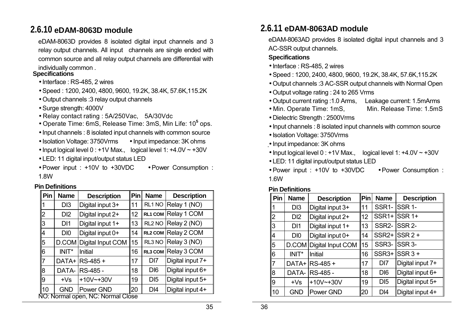# **2.6.10 eDAM-8063D module**

eDAM-8063D provides 8 isolated digital input channels and 3 relay output channels. All input channels are single ended with common source and all relay output channels are differential with individually common . **Specifications** 

- Interface : RS-485, 2 wires
- Speed : 1200, 2400, 4800, 9600, 19.2K, 38.4K, 57.6K,115.2K
- Output channels :3 relay output channels
- Surge strength: 4000V
- Relay contact rating : 5A/250Vac, 5A/30Vdc
- Operate Time: 6mS, Release Time: 3mS, Min Life: 10**<sup>5</sup>** ops.
- Input channels : 8 isolated input channels with common source
- Isolation Voltage: 3750Vrms Input impedance: 3K ohms
- Input logical level 0 : +1V Max., logical level 1: +4.0V ~ +30V
- LED: 11 digital input/output status LED
- Power input : +10V to +30VDC Power Consumption : 1.8W

#### **Pin Definitions**

| Pin            | <b>Name</b>                       | <b>Description</b> | Pin          | <b>Name</b>        | <b>Description</b>  |  |  |  |
|----------------|-----------------------------------|--------------------|--------------|--------------------|---------------------|--|--|--|
|                | D <sub>13</sub>                   | Digital input 3+   | 11           | RL1 NO             | Relay 1 (NO)        |  |  |  |
| 2              | D <sub>12</sub>                   | Digital input 2+   | 12           | <b>RL1 COM</b>     | Relay 1 COM         |  |  |  |
| 3              | DI1                               | Digital input 1+   | 13           | RL <sub>2</sub> NO | Relay 2 (NO)        |  |  |  |
| 4              | D <sub>I0</sub>                   | Digital input 0+   | 14           |                    | RL2 COM Relay 2 COM |  |  |  |
| 5              | D.COM                             | Digital Input COM  | 15<br>RL3 NO | Relay 3 (NO)       |                     |  |  |  |
| 6              | INIT*                             | Initial            | 16           | <b>RL3 COM</b>     | Relay 3 COM         |  |  |  |
| $\overline{7}$ | DATA+                             | <b>RS-485 +</b>    | 17           | D <sub>17</sub>    | Digital input 7+    |  |  |  |
| 8              | DATA-                             | IRS-485 -          | 18           | D <sub>I6</sub>    | Digital input 6+    |  |  |  |
| 9              | $+Vs$                             | $+10V$ $-+30V$     | 19           | D <sub>15</sub>    | Digital input 5+    |  |  |  |
| 10             | <b>GND</b>                        | Power GND          | 20           | DI4                | Digital input 4+    |  |  |  |
|                | VO: Normal open, NC: Normal Close |                    |              |                    |                     |  |  |  |

# **2.6.11 eDAM-8063AD module**

eDAM-8063AD provides 8 isolated digital input channels and 3 AC-SSR output channels.

### **Specifications**

- Interface : RS-485, 2 wires
- Speed : 1200, 2400, 4800, 9600, 19.2K, 38.4K, 57.6K,115.2K
- Output channels :3 AC-SSR output channels with Normal Open
- Output voltage rating : 24 to 265 Vrms
- Output current rating :1.0 Arms, Leakage current: 1.5mArms
- Min. Operate Time: 1mS, Min. Release Time: 1.5mS
- 
- Dielectric Strength : 2500Vrms
- Input channels : 8 isolated input channels with common source
- Isolation Voltage: 3750Vrms
- Input impedance: 3K ohms
- Input logical level 0 : +1V Max., logical level 1: +4.0V ~ +30V
- LED: 11 digital input/output status LED
- Power input : +10V to +30VDC Power Consumption : 1.6W

| Pin            | <b>Name</b>     | <b>Description</b>      | Pin | <b>Name</b>                         | <b>Description</b> |  |
|----------------|-----------------|-------------------------|-----|-------------------------------------|--------------------|--|
|                | D <sub>13</sub> | Digital input 3+        | 11  | SSR <sub>1</sub> -                  | <b>ISSR 1-</b>     |  |
| $\overline{2}$ | D <sub>12</sub> | Digital input 2+        | 12  | SSR <sub>1+</sub>                   | <b>SSR 1+</b>      |  |
| 3              | DI1             | Digital input 1+        | 13  | SSR <sub>2</sub> -                  | <b>SSR 2-</b>      |  |
| 14             | D <sub>IO</sub> | Digital input 0+        | 14  | SSR <sub>2+</sub>                   | $SSR2 +$           |  |
| 5              |                 | D.COM Digital Input COM | 15  | SSR <sub>3</sub>                    | SSR <sub>3</sub> - |  |
| 6              | INIT*           | Initial                 | 16  | SSR <sub>3+</sub>                   | $SSR3 +$           |  |
| $\overline{7}$ | DATA+           | RS-485+                 | 17  | DI7                                 | Digital input 7+   |  |
| 8              | DATA-           | RS-485 -                | 18  | D <sub>I6</sub>                     | Digital input 6+   |  |
| 9              | $+Vs$           | $+10V^{-}+30V$          | 19  | Digital input 5+<br>D <sub>15</sub> |                    |  |
| 10             | <b>GND</b>      | Power GND               | 20  | D <sub>14</sub><br>Digital input 4+ |                    |  |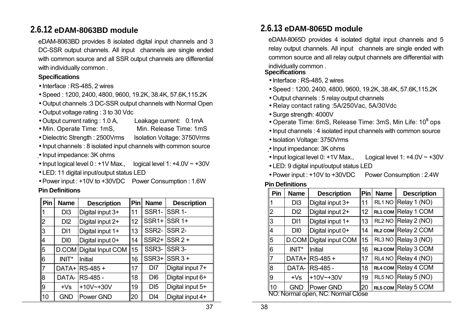# **2.6.12 eDAM-8063BD module**

eDAM-8063BD provides 8 isolated digital input channels and 3 DC-SSR output channels. All input channels are single ended with common source and all SSR output channels are differential with individually common.

#### **Specifications**

- Interface : RS-485, 2 wires
- Speed : 1200, 2400, 4800, 9600, 19.2K, 38.4K, 57.6K,115.2K
- Output channels :3 DC-SSR output channels with Normal Open
- Output voltage rating : 3 to 30 Vdc
- Output current rating : 1.0 A, Leakage current: 0.1mA
- Min. Operate Time: 1mS, Min. Release Time: 1mS
- Dielectric Strength : 2500Vrms Isolation Voltage: 3750Vrms
- Input channels : 8 isolated input channels with common source
- Input impedance: 3K ohms
- Input logical level 0 : +1V Max., logical level 1: +4.0V ~ +30V
- LED: 11 digital input/output status LED
- Power input : +10V to +30VDC Power Consumption : 1.6W

#### **Pin Definitions**

| $\ $ Pin       | <b>Name</b>     | <b>Description</b> | Pin | <b>Name</b>        | <b>Description</b> |  |
|----------------|-----------------|--------------------|-----|--------------------|--------------------|--|
|                | D <sub>13</sub> | Digital input 3+   | 11  | SSR <sub>1</sub> - | SSR <sub>1</sub> - |  |
| $\overline{2}$ | D <sub>12</sub> | Digital input 2+   | 12  | SSR <sub>1+</sub>  | SSR <sub>1+</sub>  |  |
| 3              | DI1             | Digital input 1+   | 13  | SSR <sub>2</sub> - | <b>ISSR 2-</b>     |  |
| $\overline{4}$ | D <sub>IO</sub> | Digital input 0+   | 14  | SSR <sub>2+</sub>  | lSSR 2 +           |  |
| 5              | D.COM           | Digital Input COM  | 15  | SSR <sub>3</sub> - | SSR <sub>3</sub> - |  |
| 16             | INIT*           | Initial            | 16  | SSR <sub>3+</sub>  | $SSR$ 3+           |  |
| 17             | DATA+           | RS-485 +           | 17  | D <sub>17</sub>    | Digital input 7+   |  |
| l8             | DATA-           | IRS-485 -          | 18  | D <sub>16</sub>    | Digital input 6+   |  |
| 19             | $+Vs$           | $+10V$ $-+30V$     | 19  | D <sub>15</sub>    | Digital input 5+   |  |
| 110            | <b>GND</b>      | Power GND          | 20  | DI4                | Digital input 4+   |  |

### **2.6.13 eDAM-8065D module**

eDAM-8065D provides 4 isolated digital input channels and 5 relay output channels. All input channels are single ended with common source and all relay output channels are differential with individually common . **Specifications** 

- Interface : RS-485, 2 wires
- Speed : 1200, 2400, 4800, 9600, 19.2K, 38.4K, 57.6K,115.2K
- Output channels : 5 relay output channels
- Relay contact rating :5A/250Vac, 5A/30Vdc
- Surge strength: 4000V
- Operate Time: 6mS, Release Time: 3mS, Min Life: 10**<sup>5</sup>** ops
- Input channels : 4 isolated input channels with common source
- Isolation Voltage: 3750Vrms
- Input impedance: 3K ohms
- Input logical level 0: +1V Max., Logical level 1: +4.0V ~ +30V
- LED: 9 digital input/output status LED
- Power input : +10V to +30VDC Power Consumption : 2.4W

| Pin            | <b>Name</b>                       | <b>Description</b> | Pin | <b>Name</b>        | <b>Description</b>  |  |  |  |
|----------------|-----------------------------------|--------------------|-----|--------------------|---------------------|--|--|--|
| 1              | D <sub>13</sub>                   | Digital input 3+   | 11  | RL1 NO             | Relay 1 (NO)        |  |  |  |
| $\overline{2}$ | D <sub>12</sub>                   | Digital input 2+   | 12  |                    | RL1 COM Relay 1 COM |  |  |  |
| 3              | DI1                               | Digital input 1+   | 13  | RL <sub>2</sub> NO | Relay 2 (NO)        |  |  |  |
| 4              | D <sub>IO</sub>                   | Digital input 0+   | 14  |                    | RL2 COM Relay 2 COM |  |  |  |
| 5              | D.COM                             | Digital input COM  | 15  | RL3 NO             | Relay 3 (NO)        |  |  |  |
| 6              | INIT*                             | Initial            | 16  |                    | RL3 COM Relay 3 COM |  |  |  |
| 7              | DATA+                             | RS-485+            | 17  | RL4 NO             | Relay 4 (NO)        |  |  |  |
| 8              | DATA-                             | RS-485 -           | 18  |                    | RL4 COM Relay 4 COM |  |  |  |
| 9              | $+Vs$                             | $+10V^{-}+30V$     | 19  | RL5 NO             | Relay 5 (NO)        |  |  |  |
| 10             | <b>GND</b>                        | Power GND          | 20  |                    | RL5 COM Relay 5 COM |  |  |  |
|                | NO: Normal open, NC: Normal Close |                    |     |                    |                     |  |  |  |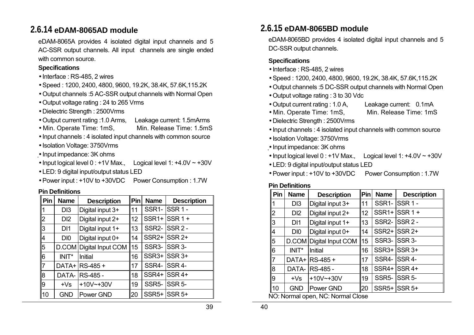### **2.6.14 eDAM-8065AD module**

eDAM-8065A provides 4 isolated digital input channels and 5 AC-SSR output channels. All input channels are single ended with common source.

#### **Specifications**

- Interface : RS-485, 2 wires
- Speed : 1200, 2400, 4800, 9600, 19.2K, 38.4K, 57.6K,115.2K
- Output channels :5 AC-SSR output channels with Normal Open
- Output voltage rating : 24 to 265 Vrms
- Dielectric Strength : 2500Vrms
- Output current rating :1.0 Arms, Leakage current: 1.5mArms
- Min. Operate Time: 1mS, Min. Release Time: 1.5mS
- Input channels : 4 isolated input channels with common source
- Isolation Voltage: 3750Vrms
- Input impedance: 3K ohms
- Input logical level 0 : +1V Max., Logical level 1: +4.0V ~ +30V
- LED: 9 digital input/output status LED
- Power input : +10V to +30VDC Power Consumption : 1.7W

#### **Pin Definitions**

| Pin            | <b>Name</b>     | <b>Description</b>      | <b>Pin</b> | <b>Name</b>        | <b>Description</b>  |
|----------------|-----------------|-------------------------|------------|--------------------|---------------------|
|                | D <sub>13</sub> | Digital input 3+        | 11         | SSR <sub>1</sub> - | <b>SSR1-</b>        |
| $\overline{2}$ | D <sub>12</sub> | Digital input 2+        | 12         | SSR <sub>1+</sub>  | $SSR1+$             |
| $\overline{3}$ | DI1             | Digital input 1+        | 13         | SSR <sub>2</sub> - | $ SSR2 -$           |
| $\overline{4}$ | DI <sub>0</sub> | Digital input 0+        | 14         |                    | SSR2+ SSR 2+        |
| $\overline{5}$ |                 | D.COM Digital Input COM | 15         | SSR <sub>3</sub>   | <b>SSR 3-</b>       |
| $\overline{6}$ | INIT*           | <b>Initial</b>          | 16         | SSR <sub>3+</sub>  | ISSR 3+             |
| 17             | DATA+           | <b>RS-485 +</b>         | 17         | SSR4-              | SSR <sub>4</sub> -  |
| $\mathsf{B}$   | DATA-           | IRS-485 -               | 18         | SSR4+              | SSR <sub>4+</sub>   |
| $\overline{9}$ | $+Vs$           | $+10V$ $-+30V$          | 19         | SSR <sub>5</sub>   | <b>SSR 5-</b>       |
| $\vert$ 10     | <b>GND</b>      | Power GND               | 20         |                    | <b>SSR5+ SSR 5+</b> |

# **2.6.15 eDAM-8065BD module**

eDAM-8065BD provides 4 isolated digital input channels and 5 DC-SSR output channels.

### **Specifications**

- Interface : RS-485, 2 wires
- Speed : 1200, 2400, 4800, 9600, 19.2K, 38.4K, 57.6K,115.2K
- Output channels :5 DC-SSR output channels with Normal Open
- Output voltage rating : 3 to 30 Vdc
- Output current rating : 1.0 A, Leakage current: 0.1mA
- Min. Operate Time: 1mS, Min. Release Time: 1mS
- Dielectric Strength : 2500Vrms
- Input channels : 4 isolated input channels with common source
- Isolation Voltage: 3750Vrms
- Input impedance: 3K ohms
- Input logical level 0 : +1V Max., Logical level 1: +4.0V ~ +30V
- LED: 9 digital input/output status LED
- Power input : +10V to +30VDC Power Consumption : 1.7W

| Pin            | <b>Name</b>                       | <b>Description</b>      | <b>Pin</b> | <b>Name</b>        | <b>Description</b>    |  |  |  |
|----------------|-----------------------------------|-------------------------|------------|--------------------|-----------------------|--|--|--|
|                | D <sub>13</sub>                   | Digital input 3+        | 11         | SSR <sub>1</sub> - | <b>SSR1-</b>          |  |  |  |
| $\overline{2}$ | D <sub>12</sub>                   | Digital input 2+        | 12         | SSR <sub>1+</sub>  | $ISSR1+$              |  |  |  |
| 3              | DI1                               | Digital input 1+        | 13         |                    | <b>SSR2- ISSR 2 -</b> |  |  |  |
| 4              | D <sub>IO</sub>                   | Digital input 0+        | 14         |                    | <b>SSR2+ SSR 2+</b>   |  |  |  |
| 5              |                                   | D.COM Digital Input COM | 15         | SSR <sub>3</sub> - | <b>ISSR 3-</b>        |  |  |  |
| 6              | INIT*                             | Initial                 | 16         |                    | SSR3+ SSR 3+          |  |  |  |
| $\overline{7}$ |                                   | DATA+ RS-485 +          | 17         | SSR4-              | ISSR 4-               |  |  |  |
| 8              | DATA-                             | <b>RS-485 -</b>         | 18         |                    | SSR4+ SSR4+           |  |  |  |
| 9              | $+Vs$                             | $+10V^{-}+30V$          | 19         | SSR <sub>5</sub>   | ISSR 5-               |  |  |  |
| 10             | <b>GND</b>                        | Power GND               | 20         |                    | <b>SSR5+ SSR 5+</b>   |  |  |  |
|                | NO: Normal open, NC: Normal Close |                         |            |                    |                       |  |  |  |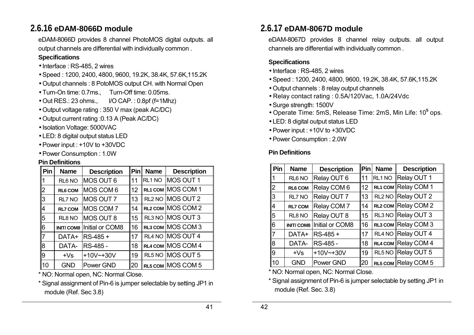# **2.6.16 eDAM-8066D module**

eDAM-8066D provides 8 channel PhotoMOS digital outputs. all output channels are differential with individually common .

#### **Specifications**

- Interface : RS-485, 2 wires
- Speed : 1200, 2400, 4800, 9600, 19.2K, 38.4K, 57.6K,115.2K
- Output channels : 8 PotoMOS output CH. with Normal Open
- Turn-On time: 0.7ms., Turn-Off time: 0.05ms.
- Out RES.: 23 ohms., I/O CAP. : 0.8pf (f=1Mhz)
- Output voltage rating : 350 V max (peak AC/DC)
- Output current rating :0.13 A (Peak AC/DC)
- Isolation Voltage: 5000VAC
- LED: 8 digital output status LED
- Power input : +10V to +30VDC
- Power Consumption : 1.0W

#### **Pin Definitions**

| Pin            | <b>Name</b>      | <b>Description</b> | Pin | <b>Name</b> | <b>Description</b> |  |
|----------------|------------------|--------------------|-----|-------------|--------------------|--|
|                | RL6 NO           | MOS OUT 6          | 11  | RL1 NO      | MOS OUT 1          |  |
| 2              | <b>RL6 COM</b>   | MOS COM 6          | 12  |             | RL1 COM MOS COM 1  |  |
| 3              | RL7 NO           | MOS OUT 7          | 13  |             | RL2 NO MOS OUT 2   |  |
| 4              | <b>RL7 COM</b>   | MOS COM 7          | 14  |             | RL2 COM MOS COM 2  |  |
| 5              | RL8 NO           | MOS OUT 8          | 15  |             | RL3 NO MOS OUT 3   |  |
| 6              | <b>INIT/COM8</b> | Initial or COM8    | 16  |             | RL3 COM MOS COM 3  |  |
| $\overline{7}$ | DATA+            | RS-485 +           | 17  |             | RL4 NO MOS OUT 4   |  |
| 8              | DATA-            | RS-485 -           | 18  |             | RL4 COM MOS COM 4  |  |
| 9              | $+Vs$            | $+10V$ $-+30V$     | 19  |             | RL5 NO MOS OUT 5   |  |
| 10             | <b>GND</b>       | Power GND          | 20  |             | RL5 COM MOS COM 5  |  |

\* NO: Normal open, NC: Normal Close.

\* Signal assignment of Pin-6 is jumper selectable by setting JP1 in module (Ref. Sec 3.8)

# **2.6.17 eDAM-8067D module**

eDAM-8067D provides 8 channel relay outputs. all output channels are differential with individually common .

### **Specifications**

- Interface : RS-485, 2 wires
- Speed : 1200, 2400, 4800, 9600, 19.2K, 38.4K, 57.6K,115.2K
- Output channels : 8 relay output channels
- Relay contact rating : 0.5A/120Vac, 1.0A/24Vdc
- Surge strength: 1500V
- Operate Time: 5mS, Release Time: 2mS, Min Life: 10**<sup>5</sup>** ops.
- LED: 8 digital output status LED
- Power input : +10V to +30VDC
- Power Consumption : 2.0W

### **Pin Definitions**

| Pin            | <b>Name</b>        | <b>Description</b> | Pin | <b>Name</b>        | <b>Description</b>  |
|----------------|--------------------|--------------------|-----|--------------------|---------------------|
| 1              | RL <sub>6</sub> NO | Relay OUT 6        | 11  | RL1 NO             | Relay OUT 1         |
| $\overline{2}$ | RL6 COM            | Relay COM 6        | 12  |                    | RL1 COM Relay COM 1 |
| 3              | RL7 NO             | Relay OUT 7        | 13  | RL <sub>2</sub> NO | Relay OUT 2         |
| 4              | <b>RL7 COM</b>     | Relay COM 7        | 14  |                    | RL2 COM Relay COM 2 |
| 5              | RL8 NO             | Relay OUT 8        | 15  | RL3 NO             | Relay OUT 3         |
| 6              | <b>INIT/COM8</b>   | Initial or COM8    | 16  |                    | RL3 COM Relay COM 3 |
| $\overline{7}$ | DATA+              | $RS-485+$          | 17  | RL4 NO             | Relay OUT 4         |
| 8              | DATA-              | RS-485 -           | 18  | RL4 COM            | Relay COM 4         |
| l9             | $+Vs$              | $+10V$ $-+30V$     | 19  | RL5 NO             | Relay OUT 5         |
| 10             | <b>GND</b>         | Power GND          | 20  | RL5 COM            | Relay COM 5         |

\* NO: Normal open, NC: Normal Close.

\* Signal assignment of Pin-6 is jumper selectable by setting JP1 in module (Ref. Sec. 3.8)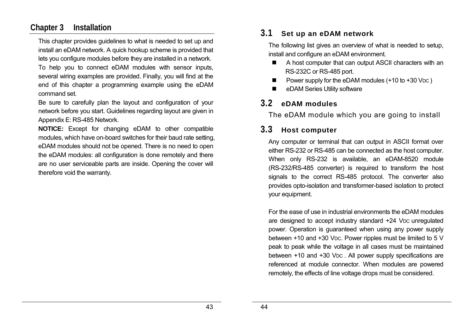### **Chapter 3 Installation**

This chapter provides guidelines to what is needed to set up and install an eDAM network. A quick hookup scheme is provided that lets you configure modules before they are installed in a network.

To help you to connect eDAM modules with sensor inputs, several wiring examples are provided. Finally, you will find at the end of this chapter a programming example using the eDAM command set.

Be sure to carefully plan the layout and configuration of your network before you start. Guidelines regarding layout are given in Appendix E: RS-485 Network.

**NOTICE:** Except for changing eDAM to other compatible modules, which have on-board switches for their baud rate setting, eDAM modules should not be opened. There is no need to open the eDAM modules: all configuration is done remotely and there are no user serviceable parts are inside. Opening the cover will therefore void the warranty.

### **3.1 Set up an eDAM network**

The following list gives an overview of what is needed to setup, install and configure an eDAM environment.

- A host computer that can output ASCII characters with an RS-232C or RS-485 port.
- Power supply for the eDAM modules (+10 to +30 VDC)
- eDAM Series Utility software

### **3.2 eDAM modules**

The eDAM module which you are going to install

# **3.3 Host computer**

Any computer or terminal that can output in ASCII format over either RS-232 or RS-485 can be connected as the host computer. When only RS-232 is available, an eDAM-8520 module (RS-232/RS-485 converter) is required to transform the host signals to the correct RS-485 protocol. The converter also provides opto-isolation and transformer-based isolation to protect your equipment.

For the ease of use in industrial environments the eDAM modules are designed to accept industry standard +24 VDC unregulated power. Operation is guaranteed when using any power supply between +10 and +30 VDC. Power ripples must be limited to 5 V peak to peak while the voltage in all cases must be maintained between +10 and +30 VDC. All power supply specifications are referenced at module connector. When modules are powered remotely, the effects of line voltage drops must be considered.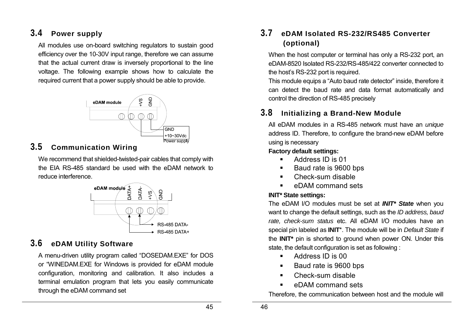# **3.4 Power supply**

All modules use on-board switching regulators to sustain good efficiency over the 10-30V input range, therefore we can assume that the actual current draw is inversely proportional to the line voltage. The following example shows how to calculate the required current that a power supply should be able to provide.



### **3.5 Communication Wiring**

We recommend that shielded-twisted-pair cables that comply with the EIA RS-485 standard be used with the eDAM network to reduce interference.



# **3.6 eDAM Utility Software**

A menu-driven utility program called "DOSEDAM.EXE" for DOS or "WINEDAM.EXE for Windows is provided for eDAM module configuration, monitoring and calibration. It also includes a terminal emulation program that lets you easily communicate through the eDAM command set

# **3.7 eDAM Isolated RS-232/RS485 Converter (optional)**

When the host computer or terminal has only a RS-232 port, an eDAM-8520 Isolated RS-232/RS-485/422 converter connected to the host's RS-232 port is required.

This module equips a "Auto baud rate detector" inside, therefore it can detect the baud rate and data format automatically and control the direction of RS-485 precisely

# **3.8 Initializing a Brand-New Module**

All eDAM modules in a RS-485 network must have an *unique*  address ID. Therefore, to configure the brand-new eDAM before using is necessary

### **Factory default settings:**

- **Address ID is 01**
- Baud rate is 9600 bps
- Check-sum disable
- **EXECUTE:** eDAM command sets

### **INIT\* State settings:**

The eDAM I/O modules must be set at *INIT\* State* when you want to change the default settings, such as the *ID address, baud rate, check-sum status* etc. All eDAM I/O modules have an special pin labeled as **INIT**\*. The module will be in *Default State* if the **INIT\*** pin is shorted to ground when power ON. Under this state, the default configuration is set as following :

- **Address ID is 00**
- Baud rate is 9600 bps
- Check-sum disable
- **EXECUTE:** eDAM command sets

Therefore, the communication between host and the module will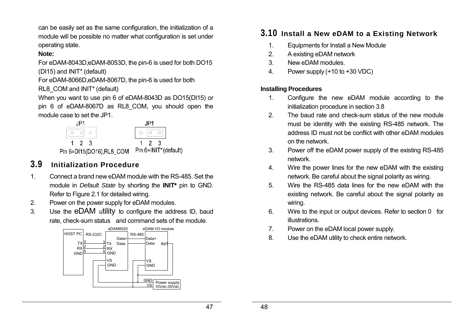can be easily set as the same configuration, the initialization of a module will be possible no matter what configuration is set under operating state.

### **Note:**

For eDAM-8043D,eDAM-8053D, the pin-6 is used for both DO15 (DI15) and INIT\* (default)

For eDAM-8066D,eDAM-8067D, the pin-6 is used for both RL8 COM and INIT<sup>\*</sup> (default)

When you want to use pin 6 of eDAM-8043D as DO15(DI15) or pin 6 of eDAM-8067D as RL8\_COM, you should open the module case to set the JP1.

| $1 \t2 \t3$ |                                                |  | $1 \quad 2 \quad 3$ |  |  |  |  |
|-------------|------------------------------------------------|--|---------------------|--|--|--|--|
|             | Pin 6=DI15(DO16),RL8_COM Pin 6=INIT* (default) |  |                     |  |  |  |  |

### **3.9 Initialization Procedure**

- 1. Connect a brand new eDAM module with the RS-485. Set the module in *Default State* by shorting the **INIT\*** pin to GND. Refer to Figure 2.1 for detailed wiring.
- 2. Power on the power supply for eDAM modules.
- 3. Use the eDAM utility to configure the address ID, baud rate, check-sum status and command sets of the module.



### **3.10 Install a New eDAM to a Existing Network**

- 1. Equipments for Install a New Module
- 2. A existing eDAM network
- 3. New eDAM modules.
- 4. Power supply (+10 to +30 VDC)

### **Installing Procedures**

- 1. Configure the new eDAM module according to the initialization procedure in section 3.8
- 2. The baud rate and check-sum status of the new module must be identity with the existing RS-485 network. The address ID must not be conflict with other eDAM modules on the network.
- 3. Power off the eDAM power supply of the existing RS-485 network.
- 4. Wire the power lines for the new eDAM with the existing network. Be careful about the signal polarity as wiring.
- 5. Wire the RS-485 data lines for the new eDAM with the existing network. Be careful about the signal polarity as wiring.
- 6. Wire to the input or output devices. Refer to section 0 for illustrations.
- 7. Power on the eDAM local power supply.
- 8. Use the eDAM utility to check entire network.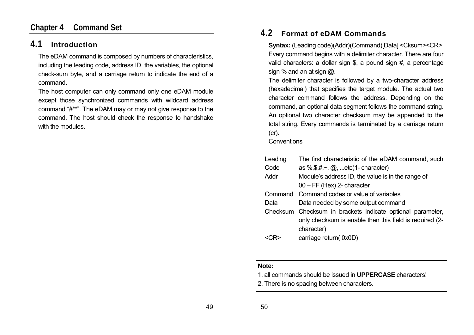### **Chapter 4 Command Set**

### **4.1 Introduction**

The eDAM command is composed by numbers of characteristics, including the leading code, address ID, the variables, the optional check-sum byte, and a carriage return to indicate the end of a command.

The host computer can only command only one eDAM module except those synchronized commands with wildcard address command "#\*\*". The eDAM may or may not give response to the command. The host should check the response to handshake with the modules.

### **4.2 Format of eDAM Commands**

**Syntax:** (Leading code)(Addr)(Command)[Data] <Cksum><CR> Every command begins with a delimiter character. There are four valid characters: a dollar sign \$, a pound sign #, a percentage sign % and an at sign @.

The delimiter character is followed by a two-character address (hexadecimal) that specifies the target module. The actual two character command follows the address. Depending on the command, an optional data segment follows the command string. An optional two character checksum may be appended to the total string. Every commands is terminated by a carriage return (cr).

#### **Conventions**

| Leading | The first characteristic of the eDAM command, such         |
|---------|------------------------------------------------------------|
| Code    | as %, $\frac{4}{5}, \frac{4}{7}$ , @, etc(1-character)     |
| Addr    | Module's address ID, the value is in the range of          |
|         | $00 - FF$ (Hex) 2- character                               |
|         | Command Command codes or value of variables                |
| Data    | Data needed by some output command                         |
|         | Checksum Checksum in brackets indicate optional parameter, |
|         | only checksum is enable then this field is required (2-    |
|         | character)                                                 |
|         | carriage return(0x0D)                                      |

#### **Note:**

- 1. all commands should be issued in **UPPERCASE** characters!
- 2. There is no spacing between characters.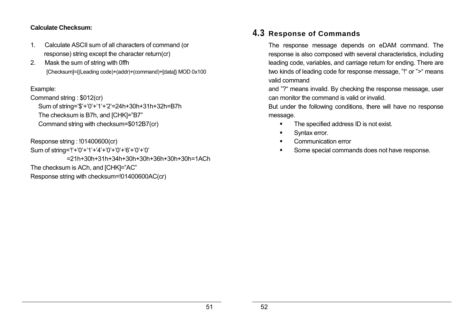### **Calculate Checksum:**

- 1. Calculate ASCII sum of all characters of command (or response) string except the character return(cr)
- 2. Mask the sum of string with 0ffh [Checksum]={(Leading code)+(addr)+(command)+[data]} MOD 0x100

### Example:

Command string : \$012(cr) Sum of string='\$'+'0'+'1'+'2'=24h+30h+31h+32h=B7h The checksum is B7h, and [CHK]="B7" Command string with checksum=\$012B7(cr)

Response string : !01400600(cr)

Sum of string='!'+'0'+'1'+'4'+'0'+'0'+'6'+'0'+'0' =21h+30h+31h+34h+30h+30h+36h+30h+30h=1ACh The checksum is ACh, and [CHK]="AC" Response string with checksum=!01400600AC(cr)

### **4.3 Response of Commands**

The response message depends on eDAM command. The response is also composed with several characteristics, including leading code, variables, and carriage return for ending. There are two kinds of leading code for response message, "!" or ">" means valid command

and "?" means invalid. By checking the response message, user can monitor the command is valid or invalid.

But under the following conditions, there will have no response message.

- The specified address ID is not exist.
- **Syntax error.**
- **EXECOMMUNICATION ETTOP**
- Some special commands does not have response.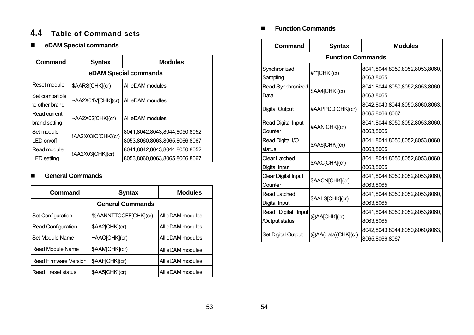### **4.4 Table of Command sets**

### **eDAM Special commands**

| Command                           | <b>Syntax</b>         | <b>Modules</b>                                                 |  |  |  |  |  |  |
|-----------------------------------|-----------------------|----------------------------------------------------------------|--|--|--|--|--|--|
|                                   | eDAM Special commands |                                                                |  |  |  |  |  |  |
| Reset module                      | \$AARS[CHK](cr)       | All eDAM modules                                               |  |  |  |  |  |  |
| Set compatible<br>to other brand  | ~AA2X01V[CHK](cr)     | All eDAM moudles                                               |  |  |  |  |  |  |
| Read current<br>brand setting     | ~AA2X02[CHK](cr)      | All eDAM modules                                               |  |  |  |  |  |  |
| Set module<br>LED on/off          | !AA2X03IO[CHK](cr)    | 8041,8042,8043,8044,8050,8052<br>8053,8060,8063,8065,8066,8067 |  |  |  |  |  |  |
| Read module<br><b>LED</b> setting | !AA2X03[CHK](cr)      | 8041.8042.8043.8044.8050.8052<br>8053,8060,8063,8065,8066,8067 |  |  |  |  |  |  |

### **General Commands**

| Command                   | <b>Syntax</b>        | <b>Modules</b>   |  |  |  |  |  |
|---------------------------|----------------------|------------------|--|--|--|--|--|
| <b>General Commands</b>   |                      |                  |  |  |  |  |  |
| Set Configuration         | %AANNTTCCFF[CHK](cr) | All eDAM modules |  |  |  |  |  |
| <b>Read Configuration</b> | \$AA2[CHK](cr)       | All eDAM modules |  |  |  |  |  |
| Set Module Name           | $~\sim$ AAO[CHK](cr) | All eDAM modules |  |  |  |  |  |
| Read Module Name          | \$AAM[CHK](cr)       | All eDAM modules |  |  |  |  |  |
| Read Firmware Version     | \$AAF[CHK](cr)       | All eDAM modules |  |  |  |  |  |
| reset status<br>Read      | \$AA5[CHK](cr)       | All eDAM modules |  |  |  |  |  |

### **Function Commands**

| Command                    | <b>Syntax</b>            | <b>Modules</b>                 |  |  |
|----------------------------|--------------------------|--------------------------------|--|--|
|                            | <b>Function Commands</b> |                                |  |  |
| Synchronized               | #**[CHK](cr)             | 8041,8044,8050,8052,8053,8060, |  |  |
| Sampling                   |                          | 8063,8065                      |  |  |
| Read Synchronized          | \$AA4[CHK](cr)           | 8041,8044,8050,8052,8053,8060, |  |  |
| Data                       |                          | 8063,8065                      |  |  |
|                            |                          | 8042,8043,8044,8050,8060,8063, |  |  |
| <b>Digital Output</b>      | #AAPPDD[CHK](cr)         | 8065,8066,8067                 |  |  |
| Read Digital Input         |                          | 8041,8044,8050,8052,8053,8060, |  |  |
| Counter                    | #AAN[CHK](cr)            | 8063,8065                      |  |  |
| Read Digital I/O           |                          | 8041,8044,8050,8052,8053,8060, |  |  |
| status                     | \$AA6[CHK](cr)           | 8063,8065                      |  |  |
| <b>Clear Latched</b>       |                          | 8041,8044,8050,8052,8053,8060, |  |  |
| Digital Input              | \$AAC[CHK](cr)           | 8063,8065                      |  |  |
| <b>Clear Digital Input</b> |                          | 8041,8044,8050,8052,8053,8060, |  |  |
| Counter                    | \$AACN[CHK](cr)          | 8063,8065                      |  |  |
| Read Latched               |                          | 8041,8044,8050,8052,8053,8060, |  |  |
| Digital Input              | \$AALS[CHK](cr)          | 8063,8065                      |  |  |
| Read Digital<br>Input      |                          | 8041,8044,8050,8052,8053,8060, |  |  |
| /Output status             | @AA[CHK](cr)             | 8063,8065                      |  |  |
|                            |                          | 8042,8043,8044,8050,8060,8063, |  |  |
| Set Digital Output         | @AA(data)[CHK](cr)       | 8065,8066,8067                 |  |  |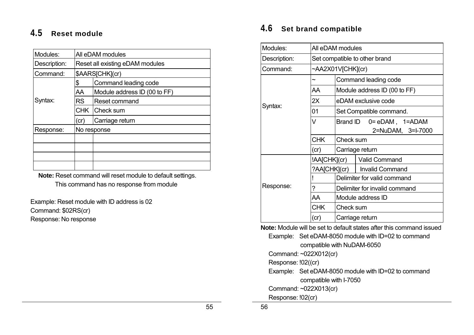# **4.5 Reset module**

| Modules:     |           | All eDAM modules                |  |  |  |  |
|--------------|-----------|---------------------------------|--|--|--|--|
| Description: |           | Reset all existing eDAM modules |  |  |  |  |
| Command:     |           | \$AARS[CHK](cr)                 |  |  |  |  |
|              | \$        | Command leading code            |  |  |  |  |
|              | AA        | Module address ID (00 to FF)    |  |  |  |  |
| Syntax:      | <b>RS</b> | Reset command                   |  |  |  |  |
|              |           | CHK Check sum                   |  |  |  |  |
|              | (c)       | Carriage return                 |  |  |  |  |
| Response:    |           | No response                     |  |  |  |  |
|              |           |                                 |  |  |  |  |
|              |           |                                 |  |  |  |  |
|              |           |                                 |  |  |  |  |
|              |           |                                 |  |  |  |  |

**Note:** Reset command will reset module to default settings. This command has no response from module

Example: Reset module with ID address is 02 Command: \$02RS(cr) Response: No response

# **4.6 Set brand compatible**

| Modules:     |                               | All eDAM modules |                                                                                                                                                                                                                                                                                                                                                                                      |  |  |  |  |
|--------------|-------------------------------|------------------|--------------------------------------------------------------------------------------------------------------------------------------------------------------------------------------------------------------------------------------------------------------------------------------------------------------------------------------------------------------------------------------|--|--|--|--|
| Description: | Set compatible to other brand |                  |                                                                                                                                                                                                                                                                                                                                                                                      |  |  |  |  |
| Command:     |                               |                  | ~AA2X01V[CHK](cr)                                                                                                                                                                                                                                                                                                                                                                    |  |  |  |  |
|              | ~                             |                  | Command leading code                                                                                                                                                                                                                                                                                                                                                                 |  |  |  |  |
|              | AA                            |                  | Module address ID (00 to FF)                                                                                                                                                                                                                                                                                                                                                         |  |  |  |  |
| Syntax:      | 2X                            |                  | eDAM exclusive code                                                                                                                                                                                                                                                                                                                                                                  |  |  |  |  |
|              | 01                            |                  | Set Compatible command.                                                                                                                                                                                                                                                                                                                                                              |  |  |  |  |
|              | V                             | Brand ID         | 0= eDAM, 1=ADAM                                                                                                                                                                                                                                                                                                                                                                      |  |  |  |  |
|              |                               |                  | 2=NuDAM, 3=I-7000                                                                                                                                                                                                                                                                                                                                                                    |  |  |  |  |
|              | <b>CHK</b>                    | Check sum        |                                                                                                                                                                                                                                                                                                                                                                                      |  |  |  |  |
|              | (c)                           | Carriage return  |                                                                                                                                                                                                                                                                                                                                                                                      |  |  |  |  |
|              |                               | !AA[CHK](cr)     | <b>Valid Command</b>                                                                                                                                                                                                                                                                                                                                                                 |  |  |  |  |
|              |                               | ?AA[CHK](cr)     | <b>Invalid Command</b>                                                                                                                                                                                                                                                                                                                                                               |  |  |  |  |
|              |                               |                  | Delimiter for valid command                                                                                                                                                                                                                                                                                                                                                          |  |  |  |  |
| Response:    | ?                             |                  | Delimiter for invalid command                                                                                                                                                                                                                                                                                                                                                        |  |  |  |  |
|              | AA                            |                  | Module address ID                                                                                                                                                                                                                                                                                                                                                                    |  |  |  |  |
|              | <b>CHK</b>                    | Check sum        |                                                                                                                                                                                                                                                                                                                                                                                      |  |  |  |  |
|              | (cr)                          |                  | Carriage return                                                                                                                                                                                                                                                                                                                                                                      |  |  |  |  |
|              |                               |                  | <b>Note:</b> Module will be set to default states after this command issued                                                                                                                                                                                                                                                                                                          |  |  |  |  |
|              |                               |                  | $\overline{a}$ $\overline{a}$ $\overline{a}$ $\overline{a}$ $\overline{a}$ $\overline{a}$ $\overline{a}$ $\overline{a}$ $\overline{a}$ $\overline{a}$ $\overline{a}$ $\overline{a}$ $\overline{a}$ $\overline{a}$ $\overline{a}$ $\overline{a}$ $\overline{a}$ $\overline{a}$ $\overline{a}$ $\overline{a}$ $\overline{a}$ $\overline{a}$ $\overline{a}$ $\overline{a}$ $\overline{$ |  |  |  |  |

**Note:** Module will be set to default states after this command issued Example: Set eDAM-8050 module with ID=02 to command .compatible with NuDAM-6050 Command: ~022X012(cr) Response: !02((cr) Example: Set eDAM-8050 module with ID=02 to command .compatible with I-7050 Command: ~022X013(cr) Response: !02(cr)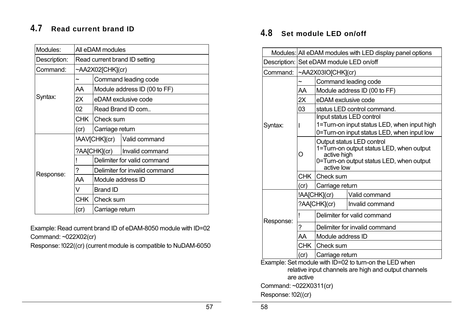# **4.7 Read current brand ID**

| Modules:     | All eDAM modules              |                               |                               |  |  |
|--------------|-------------------------------|-------------------------------|-------------------------------|--|--|
| Description: | Read current brand ID setting |                               |                               |  |  |
| Command:     |                               | ~AA2X02[CHK](cr)              |                               |  |  |
|              | ~                             |                               | Command leading code          |  |  |
|              | AA                            |                               | Module address ID (00 to FF)  |  |  |
| Syntax:      | 2X                            |                               | eDAM exclusive code           |  |  |
|              | 02                            |                               | Read Brand ID com             |  |  |
|              |                               | CHK Check sum                 |                               |  |  |
|              | (cr)                          | Carriage return               |                               |  |  |
|              |                               |                               | !AAV[CHK](cr)   Valid command |  |  |
|              | ?AA[CHK](cr)                  |                               | Invalid command               |  |  |
|              |                               | Delimiter for valid command   |                               |  |  |
| Response:    | ?                             | Delimiter for invalid command |                               |  |  |
|              | AA                            | Module address ID             |                               |  |  |
|              | V                             | <b>Brand ID</b>               |                               |  |  |
|              | <b>CHK</b>                    | Check sum                     |                               |  |  |
|              | (cr)                          | Carriage return               |                               |  |  |

Example: Read current brand ID of eDAM-8050 module with ID=02 Command: ~022X02(cr)

Response: !022((cr) (current module is compatible to NuDAM-6050

# **4.8 Set module LED on/off**

|                                                                                                                | Modules: All eDAM modules with LED display panel options |                                                                                                                                                |                                                                                                                       |  |  |
|----------------------------------------------------------------------------------------------------------------|----------------------------------------------------------|------------------------------------------------------------------------------------------------------------------------------------------------|-----------------------------------------------------------------------------------------------------------------------|--|--|
|                                                                                                                |                                                          | Description: Set eDAM module LED on/off                                                                                                        |                                                                                                                       |  |  |
| Command:                                                                                                       |                                                          | $~\sim$ AA2X03IO[CHK](cr)                                                                                                                      |                                                                                                                       |  |  |
|                                                                                                                |                                                          |                                                                                                                                                | Command leading code                                                                                                  |  |  |
|                                                                                                                | AA                                                       |                                                                                                                                                | Module address ID (00 to FF)                                                                                          |  |  |
|                                                                                                                | 2X                                                       | eDAM exclusive code                                                                                                                            |                                                                                                                       |  |  |
|                                                                                                                | 03                                                       |                                                                                                                                                | status LED control command.                                                                                           |  |  |
| Syntax:                                                                                                        |                                                          |                                                                                                                                                | Input status LED control<br>1=Turn-on input status LED, when input high<br>0=Turn-on input status LED, when input low |  |  |
|                                                                                                                | O                                                        | Output status LED control<br>1=Turn-on output status LED, when output<br>active high<br>0=Turn-on output status LED, when output<br>active low |                                                                                                                       |  |  |
|                                                                                                                |                                                          | CHK Check sum                                                                                                                                  |                                                                                                                       |  |  |
|                                                                                                                | (cr)                                                     | Carriage return                                                                                                                                |                                                                                                                       |  |  |
|                                                                                                                |                                                          | !AA[CHK](cr)                                                                                                                                   | Valid command                                                                                                         |  |  |
|                                                                                                                |                                                          | ?AA[CHK](cr)                                                                                                                                   | Invalid command                                                                                                       |  |  |
| Response:                                                                                                      |                                                          |                                                                                                                                                | Delimiter for valid command                                                                                           |  |  |
|                                                                                                                | ?                                                        |                                                                                                                                                | Delimiter for invalid command                                                                                         |  |  |
|                                                                                                                | AA                                                       | Module address ID                                                                                                                              |                                                                                                                       |  |  |
|                                                                                                                |                                                          | CHK Check sum                                                                                                                                  |                                                                                                                       |  |  |
|                                                                                                                | (cr)                                                     | Carriage return                                                                                                                                |                                                                                                                       |  |  |
| Example: Set module with ID=02 to turn-on the LED when<br>relative input channels are high and output channels |                                                          |                                                                                                                                                |                                                                                                                       |  |  |
| are active                                                                                                     |                                                          |                                                                                                                                                |                                                                                                                       |  |  |

Command: ~022X0311(cr)

Response: !02((cr)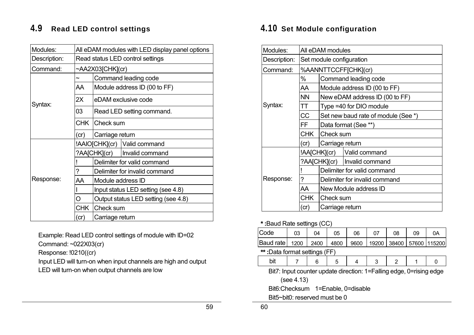# **4.9 Read LED control settings**

| Modules:     |                                  | All eDAM modules with LED display panel options |                                |  |  |  |
|--------------|----------------------------------|-------------------------------------------------|--------------------------------|--|--|--|
| Description: | Read status LED control settings |                                                 |                                |  |  |  |
| Command:     |                                  |                                                 | ~AA2X03[CHK](cr)               |  |  |  |
|              | $\tilde{\phantom{a}}$            |                                                 | Command leading code           |  |  |  |
|              | AA                               | Module address ID (00 to FF)                    |                                |  |  |  |
| Syntax:      | 2X                               |                                                 | eDAM exclusive code            |  |  |  |
|              | 03                               |                                                 | Read LED setting command.      |  |  |  |
|              |                                  | CHK Check sum                                   |                                |  |  |  |
|              | (cr)                             | Carriage return                                 |                                |  |  |  |
|              |                                  |                                                 | !AAIO[CHK](cr) Valid command   |  |  |  |
|              |                                  |                                                 | ?AA[CHK](cr)   Invalid command |  |  |  |
|              |                                  | Delimiter for valid command                     |                                |  |  |  |
|              | ?                                | Delimiter for invalid command                   |                                |  |  |  |
| Response:    | AA                               | Module address ID                               |                                |  |  |  |
|              |                                  | Input status LED setting (see 4.8)              |                                |  |  |  |
|              | O                                | Output status LED setting (see 4.8)             |                                |  |  |  |
|              | <b>CHK</b>                       | <b>Check sum</b>                                |                                |  |  |  |
|              | (cr)                             | Carriage return                                 |                                |  |  |  |

Example: Read LED control settings of module with ID=02

Command: ~022X03(cr)

Response: !0210((cr)

Input LED will turn-on when input channels are high and output LED will turn-on when output channels are low

### **4.10 Set Module configuration**

| Modules:     | All eDAM modules |                                     |                                |  |  |  |
|--------------|------------------|-------------------------------------|--------------------------------|--|--|--|
| Description: |                  | Set module configuration            |                                |  |  |  |
| Command:     |                  |                                     | %AANNTTCCFF[CHK](cr)           |  |  |  |
|              | %                |                                     | Command leading code           |  |  |  |
|              | AA               |                                     | Module address ID (00 to FF)   |  |  |  |
|              | <b>NN</b>        |                                     | New eDAM address ID (00 to FF) |  |  |  |
| Syntax:      | TT               |                                     | Type =40 for DIO module        |  |  |  |
|              | <b>CC</b>        | Set new baud rate of module (See *) |                                |  |  |  |
|              | FF               | Data format (See **)                |                                |  |  |  |
|              | <b>CHK</b>       |                                     | Check sum                      |  |  |  |
|              | (cr)             | Carriage return                     |                                |  |  |  |
|              |                  | !AA[CHK](cr)                        | Valid command                  |  |  |  |
|              |                  |                                     | ?AA[CHK](cr)   Invalid command |  |  |  |
| Response:    |                  | Delimiter for valid command         |                                |  |  |  |
|              | ?                | Delimiter for invalid command       |                                |  |  |  |
|              | AA               | New Module address ID               |                                |  |  |  |
|              | <b>CHK</b>       | Check sum                           |                                |  |  |  |
|              | (c)              | Carriage return                     |                                |  |  |  |

#### **\* :**Baud Rate settings (CC)

| <b>Code</b>                   | 03 | 04 | 05   | 06   |  | 08 | 09 | 0Α                             |
|-------------------------------|----|----|------|------|--|----|----|--------------------------------|
| Baud rate   1200   2400       |    |    | 4800 | 9600 |  |    |    | 19200   38400   57600   115200 |
| **: Data format settings (FF) |    |    |      |      |  |    |    |                                |

Bit7: Input counter update direction: 1=Falling edge, 0=rising edge

(see 4.13)

Bit6:Checksum 1=Enable, 0=disable

Bit5~bit0: reserved must be 0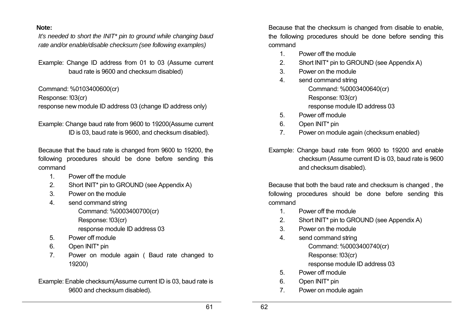#### **Note:**

*It's needed to short the INIT\* pin to ground while changing baud rate and/or enable/disable checksum (see following examples)* 

Example: Change ID address from 01 to 03 (Assume current baud rate is 9600 and checksum disabled)

Command: %0103400600(cr)

Response: !03(cr)

response new module ID address 03 (change ID address only)

Example: Change baud rate from 9600 to 19200(Assume current ID is 03, baud rate is 9600, and checksum disabled).

Because that the baud rate is changed from 9600 to 19200, the following procedures should be done before sending this command

- 1. Power off the module
- 2. Short INIT\* pin to GROUND (see Appendix A)
- 3. Power on the module
- 4. send command string Command: %0003400700(cr) Response: !03(cr) response module ID address 03
- 5. Power off module
- 6. Open INIT\* pin
- 7. Power on module again ( Baud rate changed to 19200)

Example: Enable checksum(Assume current ID is 03, baud rate is 9600 and checksum disabled).

Because that the checksum is changed from disable to enable, the following procedures should be done before sending this command

- 1. Power off the module
- 2. Short INIT\* pin to GROUND (see Appendix A)
- 3. Power on the module
- 4. send command string Command: %0003400640(cr) Response: !03(cr) response module ID address 03
- 5. Power off module
- 6. Open INIT\* pin
- 7. Power on module again (checksum enabled)
- Example: Change baud rate from 9600 to 19200 and enable checksum (Assume current ID is 03, baud rate is 9600 and checksum disabled).

Because that both the baud rate and checksum is changed , the following procedures should be done before sending this command

- 1. Power off the module
- 2. Short INIT\* pin to GROUND (see Appendix A)
- 3. Power on the module
- 4. send command string Command: %0003400740(cr) Response: !03(cr) response module ID address 03
- 5. Power off module
- 6. Open INIT\* pin
- 7. Power on module again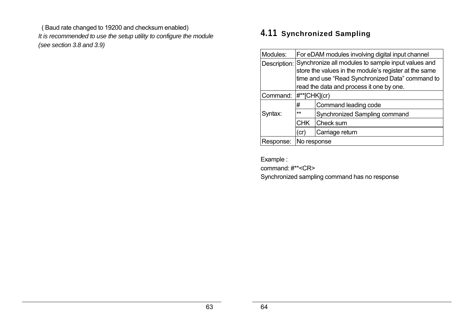( Baud rate changed to 19200 and checksum enabled) *It is recommended to use the setup utility to configure the module (see section 3.8 and 3.9)* 

# **4.11 Synchronized Sampling**

| Modules:  | For eDAM modules involving digital input channel                                                |                                                                 |  |
|-----------|-------------------------------------------------------------------------------------------------|-----------------------------------------------------------------|--|
|           |                                                                                                 | Description: Synchronize all modules to sample input values and |  |
|           |                                                                                                 | store the values in the module's register at the same           |  |
|           |                                                                                                 | time and use "Read Synchronized Data" command to                |  |
|           |                                                                                                 | read the data and process it one by one.                        |  |
| Command:  | $\mid \neq^*$ [CHK](cr)                                                                         |                                                                 |  |
|           | #<br>Command leading code<br>$\star\star$<br>Synchronized Sampling command<br>Check sum<br>CHK. |                                                                 |  |
| Syntax:   |                                                                                                 |                                                                 |  |
|           |                                                                                                 |                                                                 |  |
|           | Carriage return<br>(cr)                                                                         |                                                                 |  |
| Response: | No response                                                                                     |                                                                 |  |

Example :

command: #\*\*<CR>

Synchronized sampling command has no response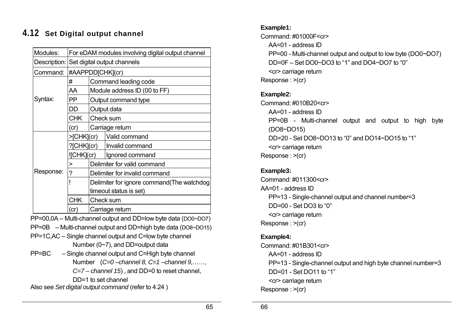# **4.12 Set Digital output channel**

| Modules:  | For eDAM modules involving digital output channel |                               |                                            |  |
|-----------|---------------------------------------------------|-------------------------------|--------------------------------------------|--|
|           | Description: Set digital output channels          |                               |                                            |  |
| Command:  | #AAPPDD[CHK](cr)                                  |                               |                                            |  |
|           | #                                                 |                               | Command leading code                       |  |
|           | AA                                                |                               | Module address ID (00 to FF)               |  |
| Syntax:   | PP                                                |                               | Output command type                        |  |
|           | DD                                                |                               | Output data                                |  |
|           | <b>CHK</b>                                        | Check sum                     |                                            |  |
|           | (c)                                               | Carriage return               |                                            |  |
|           | >[CHK](cr)                                        |                               | Valid command                              |  |
|           | ?[CHK](cr)                                        |                               | Invalid command                            |  |
|           | !(CHK](cr)                                        |                               | Ignored command                            |  |
|           | >                                                 | Delimiter for valid command   |                                            |  |
| Response: | ?                                                 | Delimiter for invalid command |                                            |  |
|           |                                                   |                               | Delimiter for ignore command (The watchdog |  |
|           |                                                   | timeout status is set)        |                                            |  |
|           | <b>CHK</b>                                        |                               | Check sum                                  |  |
|           | Carriage return<br>(cr)                           |                               |                                            |  |

PP=00,0A – Multi-channel output and DD=low byte data (DO0~DO7)

PP=0B – Multi-channel output and DD=high byte data (DO8~DO15)

- PP=1C,AC Single channel output and C=low byte channel Number (0~7), and DD=output data
- PP=BC Single channel output and C=High byte channel Number (*C=0 –channel 8, C=1 –channel 9,……, C=7 – channel 15*) , and DD=0 to reset channel, DD=1 to set channel

Also see *Set digital output command* (refer to 4.24 )

### **Example1:**

Command: #01000F<cr> AA=01 - address ID

PP=00 - Multi-channel output and output to low byte (DO0~DO7) DD=0F – Set DO0~DO3 to "1" and DO4~DO7 to "0" <cr> carriage return Response : >(cr)

### **Example2:**

Command: #010B20<cr> AA=01 - address ID PP=0B - Multi-channel output and output to high byte (DO8~DO15) DD=20 - Set DO8~DO13 to "0" and DO14~DO15 to "1" <cr> carriage return Response : >(cr)

### **Example3:**

Command: #011300<cr> AA=01 - address ID PP=13 - Single-channel output and channel number=3 DD=00 - Set DO3 to "0" <cr> carriage return Response : >(cr)

### **Example4:**

Command: #01B301<cr> AA=01 - address ID PP=13 - Single-channel output and high byte channel number=3 DD=01 - Set DO11 to "1" <cr> carriage return Response : >(cr)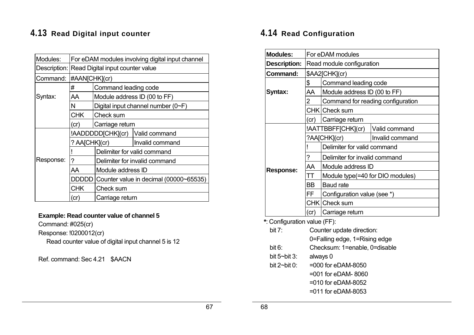# **4.13 Read Digital input counter**

| Modules:  | For eDAM modules involving digital input channel |                                        |                                    |  |
|-----------|--------------------------------------------------|----------------------------------------|------------------------------------|--|
|           | Description: Read Digital input counter value    |                                        |                                    |  |
| Command:  | #AAN[CHK](cr)                                    |                                        |                                    |  |
|           | #                                                | Command leading code                   |                                    |  |
| Syntax:   | AA                                               |                                        | Module address ID (00 to FF)       |  |
|           | N                                                |                                        | Digital input channel number (0~F) |  |
|           | <b>CHK</b>                                       | Check sum                              |                                    |  |
|           | (cr)                                             | Carriage return                        |                                    |  |
|           |                                                  | !AADDDDD[CHK](cr)                      | Valid command                      |  |
|           | ? AA[CHK](cr)                                    |                                        | Invalid command                    |  |
|           |                                                  | Delimiter for valid command            |                                    |  |
| Response: | ?                                                | Delimiter for invalid command          |                                    |  |
|           | AA                                               | Module address ID                      |                                    |  |
|           | DDDDD                                            | Counter value in decimal (00000~65535) |                                    |  |
|           | <b>CHK</b>                                       | Check sum                              |                                    |  |
|           | (cr)                                             | Carriage return                        |                                    |  |

### **Example: Read counter value of channel 5**

Command: #025(cr)

Response: !0200012(cr)

Read counter value of digital input channel 5 is 12

Ref. command: Sec 4.21 \$AACN

# **4.14 Read Configuration**

| <b>Modules:</b>              | For eDAM modules              |                                  |                                   |  |  |
|------------------------------|-------------------------------|----------------------------------|-----------------------------------|--|--|
| <b>Description:</b>          | Read module configuration     |                                  |                                   |  |  |
| <b>Command:</b>              | \$AA2[CHK](cr)                |                                  |                                   |  |  |
|                              | \$                            | Command leading code             |                                   |  |  |
| Syntax:                      | AA                            | Module address ID (00 to FF)     |                                   |  |  |
|                              | $\overline{2}$                |                                  | Command for reading configuration |  |  |
|                              |                               | CHK Check sum                    |                                   |  |  |
|                              | (cr)                          | Carriage return                  |                                   |  |  |
|                              |                               | !AATTBBFF[CHK](cr)               | Valid command                     |  |  |
|                              |                               | ?AA[CHK](cr)                     | Invalid command                   |  |  |
|                              | Ţ                             | Delimiter for valid command      |                                   |  |  |
|                              | ?                             | Delimiter for invalid command    |                                   |  |  |
| <b>Response:</b>             | AA                            | Module address ID                |                                   |  |  |
|                              | TT                            | Module type(=40 for DIO modules) |                                   |  |  |
|                              | <b>BB</b>                     | <b>Baud</b> rate                 |                                   |  |  |
|                              | FF                            | Configuration value (see *)      |                                   |  |  |
|                              |                               | CHK Check sum                    |                                   |  |  |
|                              | (cr)                          | Carriage return                  |                                   |  |  |
| *: Configuration value (FF): |                               |                                  |                                   |  |  |
| bit $7$ :                    | Counter update direction:     |                                  |                                   |  |  |
|                              | 0=Falling edge, 1=Rising edge |                                  |                                   |  |  |
| bit $6:$                     | Checksum: 1=enable, 0=disable |                                  |                                   |  |  |
| bit $5$ ~bit $3$ :           | always 0                      |                                  |                                   |  |  |
| bit $2$ ~bit 0:              | =000 for eDAM-8050            |                                  |                                   |  |  |
|                              |                               | =001 for eDAM-8060               |                                   |  |  |
|                              |                               | =010 for eDAM-8052               |                                   |  |  |
|                              |                               | =011 for eDAM-8053               |                                   |  |  |
|                              |                               |                                  |                                   |  |  |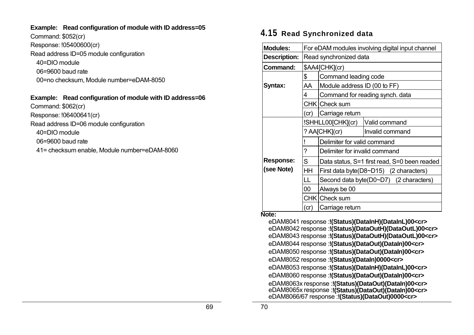#### **Example: Read configuration of module with ID address=05**

Command: \$052(cr) Response: !05400600(cr)

Read address ID=05 module configuration

40=DIO module

06=9600 baud rate

00=no checksum, Module number=eDAM-8050

### **Example: Read configuration of module with ID address=06**

Command: \$062(cr) Response: !06400641(cr)

Read address ID=06 module configuration

40=DIO module

06=9600 baud rate

41= checksum enable, Module number=eDAM-8060

### **4.15 Read Synchronized data**

| <b>Modules:</b>     | For eDAM modules involving digital input channel |                               |                                              |  |
|---------------------|--------------------------------------------------|-------------------------------|----------------------------------------------|--|
| <b>Description:</b> | Read synchronized data                           |                               |                                              |  |
| Command:            |                                                  | \$AA4[CHK](cr)                |                                              |  |
|                     | \$                                               | Command leading code          |                                              |  |
| Syntax:             | AA                                               | Module address ID (00 to FF)  |                                              |  |
|                     | 4                                                |                               | Command for reading synch. data              |  |
|                     |                                                  | CHK Check sum                 |                                              |  |
|                     | (cr)                                             | Carriage return               |                                              |  |
|                     |                                                  | !SHHLL00[CHK](cr)             | Valid command                                |  |
|                     |                                                  | ? AA[CHK](cr)                 | Invalid command                              |  |
|                     |                                                  | Delimiter for valid command   |                                              |  |
|                     | ?                                                | Delimiter for invalid command |                                              |  |
| <b>Response:</b>    | S                                                |                               | Data status, S=1 first read, S=0 been readed |  |
| (see Note)          | HH                                               |                               | First data byte(D8~D15) (2 characters)       |  |
|                     | LL                                               |                               | Second data byte(D0~D7) (2 characters)       |  |
|                     | $00\,$                                           | Always be 00                  |                                              |  |
|                     |                                                  | CHK Check sum                 |                                              |  |
| <b>Nato:</b>        | (c)                                              | Carriage return               |                                              |  |

#### **Note:**

eDAM8041 response :**!(Status)(DataInH)(DataInL)00<cr>**  eDAM8042 response :**!(Status)(DataOutH)(DataOutL)00<cr>**  eDAM8043 response :**!(Status)(DataOutH)(DataOutL)00<cr>**  eDAM8044 response :**!(Status)(DataOut)(DataIn)00<cr>**  eDAM8050 response :**!(Status)(DataOut)(DataIn)00<cr>**  eDAM8052 response :**!(Status)(DataIn)0000<cr>**  eDAM8053 response :**!(Status)(DataInH)(DataInL)00<cr>**  eDAM8060 response :**!(Status)(DataOut)(DataIn)00<cr>** eDAM8063x response :**!(Status)(DataOut)(DataIn)00<cr>** eDAM8065x response :**!(Status)(DataOut)(DataIn)00<cr>**  eDAM8066/67 response :**!(Status)(DataOut)0000<cr>**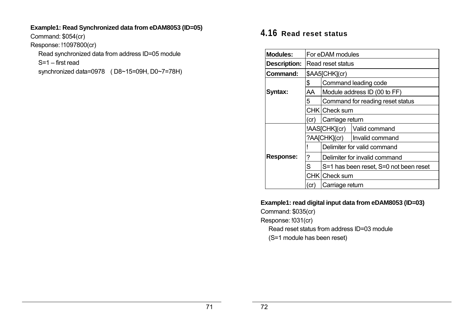### **Example1: Read Synchronized data from eDAM8053 (ID=05)**

Command: \$054(cr)

Response: !1097800(cr)

Read synchronized data from address ID=05 module

S=1 – first read

synchronized data=0978 ( D8~15=09H, D0~7=78H)

# **4.16 Read reset status**

| Modules:            | For eDAM modules  |                                        |                                  |  |
|---------------------|-------------------|----------------------------------------|----------------------------------|--|
| <b>Description:</b> | Read reset status |                                        |                                  |  |
| Command:            |                   | \$AA5[CHK](cr)                         |                                  |  |
|                     | \$                |                                        | Command leading code             |  |
| Syntax:             | AA                |                                        | Module address ID (00 to FF)     |  |
|                     | 5                 |                                        | Command for reading reset status |  |
|                     | CHK   Check sum   |                                        |                                  |  |
|                     | (cr)              | Carriage return                        |                                  |  |
|                     |                   |                                        | !AAS[CHK](cr)   Valid command    |  |
|                     |                   |                                        | ?AA[CHK](cr)   Invalid command   |  |
|                     |                   |                                        | Delimiter for valid command      |  |
| <b>Response:</b>    | ?                 | Delimiter for invalid command          |                                  |  |
|                     | S                 | S=1 has been reset, S=0 not been reset |                                  |  |
|                     |                   | CHK   Check sum                        |                                  |  |
|                     | (cr)              | Carriage return                        |                                  |  |

### **Example1: read digital input data from eDAM8053 (ID=03)**

Command: \$035(cr)

Response: !031(cr)

Read reset status from address ID=03 module

(S=1 module has been reset)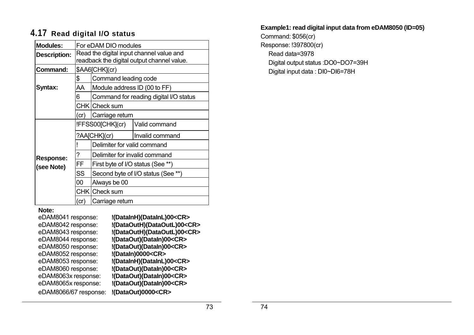# **4.17 Read digital I/O status**

| <b>Modules:</b>     | For eDAM DIO modules                                                                   |                                    |                                        |  |
|---------------------|----------------------------------------------------------------------------------------|------------------------------------|----------------------------------------|--|
| <b>Description:</b> | Read the digital input channel value and<br>readback the digital output channel value. |                                    |                                        |  |
| Command:            |                                                                                        | \$AA6[CHK](cr)                     |                                        |  |
|                     | \$                                                                                     | Command leading code               |                                        |  |
| Syntax:             | AA                                                                                     | Module address ID (00 to FF)       |                                        |  |
|                     | 6                                                                                      |                                    | Command for reading digital I/O status |  |
|                     |                                                                                        | CHK   Check sum                    |                                        |  |
|                     | (cr)                                                                                   | Carriage return                    |                                        |  |
|                     |                                                                                        | !FFSS00[CHK](cr)                   | Valid command                          |  |
|                     |                                                                                        | ?AA[CHK](cr)                       | Invalid command                        |  |
|                     |                                                                                        | Delimiter for valid command        |                                        |  |
| <b>Response:</b>    | ?                                                                                      | Delimiter for invalid command      |                                        |  |
| (see Note)          | FF                                                                                     |                                    | First byte of I/O status (See **)      |  |
|                     | SS                                                                                     | Second byte of I/O status (See **) |                                        |  |
|                     | 00                                                                                     | Always be 00                       |                                        |  |
|                     |                                                                                        | CHK Check sum                      |                                        |  |
|                     | (cr)                                                                                   | Carriage return                    |                                        |  |

#### **Note:**

| eDAM8041 response:    | !(DataInH)(DataInL)00 <cr></cr>   |
|-----------------------|-----------------------------------|
| eDAM8042 response:    | !(DataOutH)(DataOutL)00 <cr></cr> |
| eDAM8043 response:    | !(DataOutH)(DataOutL)00 <cr></cr> |
| eDAM8044 response:    | !(DataOut)(DataIn)00 <cr></cr>    |
| eDAM8050 response:    | !(DataOut)(DataIn)00 <cr></cr>    |
| eDAM8052 response:    | !(DataIn)0000 <cr></cr>           |
| eDAM8053 response:    | !(DataInH)(DataInL)00 <cr></cr>   |
| eDAM8060 response:    | !(DataOut)(DataIn)00 <cr></cr>    |
| eDAM8063x response:   | !(DataOut)(DataIn)00 <cr></cr>    |
| eDAM8065x response:   | !(DataOut)(DataIn)00 <cr></cr>    |
| eDAM8066/67 response: | !(DataOut)0000 <cr></cr>          |

**Example1: read digital input data from eDAM8050 (ID=05)** 

Command: \$056(cr) Response: !397800(cr) Read data=3978 Digital output status :DO0~DO7=39H Digital input data : DI0~DI6=78H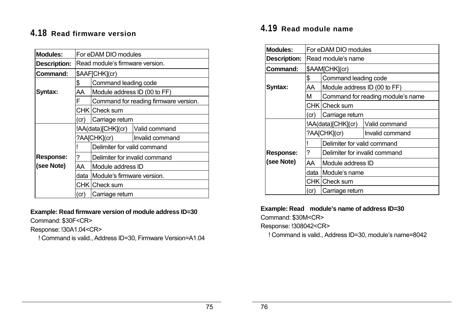# **4.18 Read firmware version**

| <b>Modules:</b>     | For eDAM DIO modules                                  |                               |                                       |
|---------------------|-------------------------------------------------------|-------------------------------|---------------------------------------|
| <b>Description:</b> | Read module's firmware version.                       |                               |                                       |
| Command:            |                                                       | \$AAF[CHK](cr)                |                                       |
|                     | \$                                                    | Command leading code          |                                       |
| Syntax:             | AA                                                    | Module address ID (00 to FF)  |                                       |
|                     | F                                                     |                               | Command for reading firmware version. |
|                     |                                                       | CHK   Check sum               |                                       |
|                     | (cr)                                                  | Carriage return               |                                       |
|                     | !AA(data)[CHK](cr)<br>Valid command                   |                               |                                       |
|                     |                                                       | ?AA[CHK](cr)                  | Invalid command                       |
|                     |                                                       | Delimiter for valid command   |                                       |
| <b>Response:</b>    | ?                                                     | Delimiter for invalid command |                                       |
| (see Note)          | AA<br>Module address ID                               |                               |                                       |
|                     | Module's firmware version.<br>data<br>CHK   Check sum |                               |                                       |
|                     |                                                       |                               |                                       |
|                     | (cr)                                                  | Carriage return               |                                       |

#### **Example: Read firmware version of module address ID=30**

Command: \$30F<CR>

Response: !30A1.04<CR>

! Command is valid., Address ID=30, Firmware Version=A1.04

# **4.19 Read module name**

| <b>Modules:</b>     | For eDAM DIO modules |                                     |                                   |  |
|---------------------|----------------------|-------------------------------------|-----------------------------------|--|
| <b>Description:</b> | Read module's name   |                                     |                                   |  |
| Command:            | \$AAM[CHK](cr)       |                                     |                                   |  |
|                     | \$                   | Command leading code                |                                   |  |
| Syntax:             | AA                   | Module address ID (00 to FF)        |                                   |  |
|                     | М                    |                                     | Command for reading module's name |  |
|                     |                      | CHK Check sum                       |                                   |  |
|                     | (cr)                 | Carriage return                     |                                   |  |
|                     |                      | !AA(data)[CHK](cr)<br>Valid command |                                   |  |
|                     |                      | ?AA[CHK](cr)                        | Invalid command                   |  |
|                     |                      | Delimiter for valid command         |                                   |  |
| <b>Response:</b>    | ?                    | Delimiter for invalid command       |                                   |  |
| (see Note)          | AA                   | Module address ID                   |                                   |  |
|                     | data                 | Module's name                       |                                   |  |
|                     |                      | CHK Check sum                       |                                   |  |
|                     | (cr)                 | Carriage return                     |                                   |  |

#### **Example: Read module's name of address ID=30**

Command: \$30M<CR>

Response: !308042<CR>

! Command is valid., Address ID=30, module's name=8042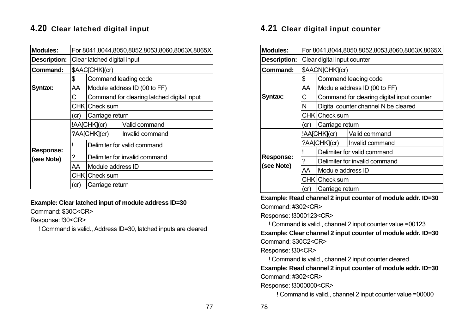# **4.20 Clear latched digital input**

| <b>Modules:</b>     |                             |                             | For 8041,8044,8050,8052,8053,8060,8063X,8065X |  |
|---------------------|-----------------------------|-----------------------------|-----------------------------------------------|--|
| <b>Description:</b> | Clear latched digital input |                             |                                               |  |
| Command:            |                             | \$AAC[CHK](cr)              |                                               |  |
|                     | \$                          | Command leading code        |                                               |  |
| Syntax:             | AA                          |                             | Module address ID (00 to FF)                  |  |
|                     | С                           |                             | Command for clearing latched digital input    |  |
|                     |                             | CHK Check sum               |                                               |  |
|                     | (cr)                        | Carriage return             |                                               |  |
|                     |                             | !AA[CHK](cr)                | Valid command                                 |  |
|                     | ?AA[CHK](cr)                |                             | Invalid command                               |  |
| <b>Response:</b>    |                             | Delimiter for valid command |                                               |  |
| (see Note)          | ?                           |                             | Delimiter for invalid command                 |  |
|                     | AA                          | Module address ID           |                                               |  |
|                     |                             | CHK Check sum               |                                               |  |
|                     | (cr)                        | Carriage return             |                                               |  |

#### **Example: Clear latched input of module address ID=30**

Command: \$30C<CR>

Response: !30<CR>

! Command is valid., Address ID=30, latched inputs are cleared

### **4.21 Clear digital input counter**

| <b>Modules:</b>                | For 8041,8044,8050,8052,8053,8060,8063X,8065X |                               |                                            |  |
|--------------------------------|-----------------------------------------------|-------------------------------|--------------------------------------------|--|
| <b>Description:</b>            | Clear digital input counter                   |                               |                                            |  |
| Command:                       | \$AACN[CHK](cr)                               |                               |                                            |  |
|                                | \$                                            | Command leading code          |                                            |  |
|                                | AA                                            |                               | Module address ID (00 to FF)               |  |
| Syntax:                        | С                                             |                               | Command for clearing digital input counter |  |
|                                | N                                             |                               | Digital counter channel N be cleared       |  |
|                                |                                               | CHK   Check sum               |                                            |  |
|                                | Carriage return<br>(cr)                       |                               |                                            |  |
|                                |                                               | !AA[CHK](cr)                  | Valid command                              |  |
|                                |                                               | ?AA[CHK](cr)                  | Invalid command                            |  |
|                                |                                               |                               | Delimiter for valid command                |  |
| <b>Response:</b><br>(see Note) | 7                                             | Delimiter for invalid command |                                            |  |
|                                | AA                                            | Module address ID             |                                            |  |
|                                |                                               | CHK   Check sum               |                                            |  |
|                                | (cr                                           | Carriage return               |                                            |  |

**Example: Read channel 2 input counter of module addr. ID=30**  Command: #302<CR>

Response: !3000123<CR>

! Command is valid., channel 2 input counter value =00123 **Example: Clear channel 2 input counter of module addr. ID=30**  Command: \$30C2<CR>

Response: !30<CR>

! Command is valid., channel 2 input counter cleared

**Example: Read channel 2 input counter of module addr. ID=30**  Command: #302<CR>

Response: !3000000<CR>

! Command is valid., channel 2 input counter value =00000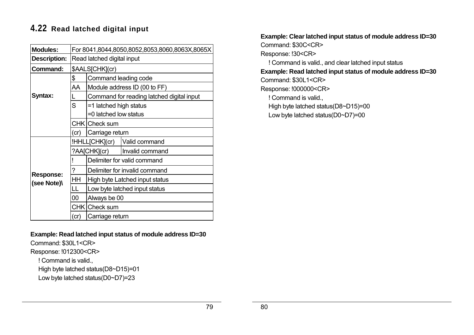# **4.22 Read latched digital input**

| <b>Modules:</b>                 | For 8041,8044,8050,8052,8053,8060,8063X,8065X |                               |                                           |  |  |
|---------------------------------|-----------------------------------------------|-------------------------------|-------------------------------------------|--|--|
| <b>Description:</b>             | Read latched digital input                    |                               |                                           |  |  |
| <b>Command:</b>                 |                                               | \$AALS[CHK](cr)               |                                           |  |  |
|                                 | \$                                            | Command leading code          |                                           |  |  |
|                                 | AA                                            | Module address ID (00 to FF)  |                                           |  |  |
| Syntax:                         |                                               |                               | Command for reading latched digital input |  |  |
|                                 | S                                             | =1 latched high status        |                                           |  |  |
|                                 |                                               |                               | =0 latched low status                     |  |  |
|                                 | CHK   Check sum                               |                               |                                           |  |  |
|                                 | Carriage return<br>(cr)                       |                               |                                           |  |  |
|                                 |                                               | !HHLL[CHK](cr)                | Valid command                             |  |  |
|                                 | ?AA[CHK](cr)                                  |                               | Invalid command                           |  |  |
|                                 |                                               | Delimiter for valid command   |                                           |  |  |
|                                 | ?                                             | Delimiter for invalid command |                                           |  |  |
| <b>Response:</b><br>(see Note)\ | HH                                            |                               | High byte Latched input status            |  |  |
|                                 | LL                                            | Low byte latched input status |                                           |  |  |
|                                 | 00                                            | Always be 00                  |                                           |  |  |
|                                 |                                               | CHK Check sum                 |                                           |  |  |
|                                 | (cr)                                          | Carriage return               |                                           |  |  |

**Example: Read latched input status of module address ID=30** 

Command: \$30L1<CR>

Response: !012300<CR>

! Command is valid.,

High byte latched status(D8~D15)=01

Low byte latched status(D0~D7)=23

**Example: Clear latched input status of module address ID=30**  Command: \$30C<CR> Response: !30<CR> ! Command is valid., and clear latched input status **Example: Read latched input status of module address ID=30**  Command: \$30L1<CR> Response: !000000<CR> ! Command is valid., High byte latched status(D8~D15)=00 Low byte latched status(D0~D7)=00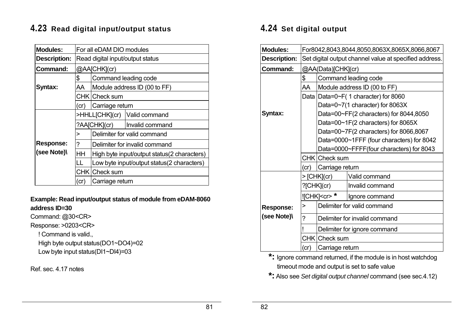# **4.23 Read digital input/output status**

| <b>Modules:</b>     | For all eDAM DIO modules                                                      |                                             |                               |  |
|---------------------|-------------------------------------------------------------------------------|---------------------------------------------|-------------------------------|--|
| <b>Description:</b> | Read digital input/output status                                              |                                             |                               |  |
| <b>Command:</b>     | @AA[CHK](cr)                                                                  |                                             |                               |  |
|                     | \$                                                                            | Command leading code                        |                               |  |
| Syntax:             | AA                                                                            |                                             | Module address ID (00 to FF)  |  |
|                     |                                                                               | CHK ICheck sum                              |                               |  |
|                     | Carriage return<br>(cr)                                                       |                                             |                               |  |
|                     |                                                                               |                                             | >HHLL[CHK](cr) Valid command  |  |
|                     |                                                                               | ?AA[CHK](cr)                                | Invalid command               |  |
|                     |                                                                               | Delimiter for valid command                 |                               |  |
| <b>Response:</b>    | 7                                                                             |                                             | Delimiter for invalid command |  |
| (see Note)\         | HН                                                                            | High byte input/output status(2 characters) |                               |  |
|                     | Low byte input/output status(2 characters)<br>$\mathbf{L}$<br>CHK   Check sum |                                             |                               |  |
|                     |                                                                               |                                             |                               |  |
|                     | cr)                                                                           | Carriage return                             |                               |  |

### **Example: Read input/output status of module from eDAM-8060 address ID=30**

Command: @30<CR>

Response: >0203<CR>

! Command is valid.,

High byte output status(DO1~DO4)=02

Low byte input status(DI1~DI4)=03

Ref. sec. 4.17 notes

# **4.24 Set digital output**

| <b>Modules:</b>     | For8042,8043,8044,8050,8063X,8065X,8066,8067           |                                           |                                        |  |  |
|---------------------|--------------------------------------------------------|-------------------------------------------|----------------------------------------|--|--|
| <b>Description:</b> | Set digital output channel value at specified address. |                                           |                                        |  |  |
| Command:            | @AA(Data)[CHK](cr)                                     |                                           |                                        |  |  |
|                     | \$<br>Command leading code                             |                                           |                                        |  |  |
|                     | AA                                                     | Module address ID (00 to FF)              |                                        |  |  |
|                     | Data                                                   |                                           | Data=0~F(1 character) for 8060         |  |  |
|                     |                                                        |                                           | Data=0~7(1 character) for 8063X        |  |  |
| Syntax:             |                                                        |                                           | Data=00~FF(2 characters) for 8044,8050 |  |  |
|                     |                                                        |                                           | Data=00~1F(2 characters) for 8065X     |  |  |
|                     |                                                        |                                           | Data=00~7F(2 characters) for 8066,8067 |  |  |
|                     |                                                        | Data=0000~1FFF (four characters) for 8042 |                                        |  |  |
|                     |                                                        | Data=0000~FFFF(four characters) for 8043  |                                        |  |  |
|                     |                                                        | CHK Check sum                             |                                        |  |  |
|                     | Carriage return<br>(cr)                                |                                           |                                        |  |  |
|                     | >[CHK](cr)                                             |                                           | Valid command                          |  |  |
|                     |                                                        | $?$ [CHK](cr)                             | Invalid command                        |  |  |
|                     |                                                        | ![CHK] <cr>*</cr>                         | Ignore command                         |  |  |
| <b>Response:</b>    | Delimiter for valid command<br>>                       |                                           |                                        |  |  |
| (see Note)\         | ?                                                      | Delimiter for invalid command             |                                        |  |  |
|                     |                                                        |                                           | Delimiter for ignore command           |  |  |
|                     |                                                        | CHK Check sum                             |                                        |  |  |
|                     | (cr)                                                   | Carriage return                           |                                        |  |  |

**\*:** Ignore command returned, if the module is in host watchdog timeout mode and output is set to safe value

**\*:** Also see *Set digital output channel* command (see sec.4.12)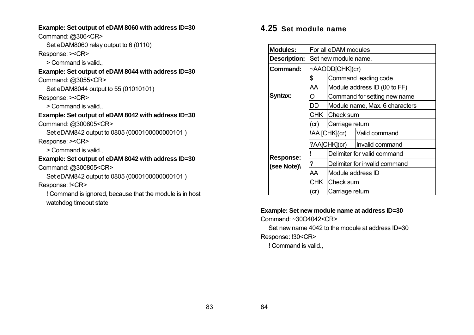#### **Example: Set output of eDAM 8060 with address ID=30**

Command: @306<CR>

Set eDAM8060 relay output to 6 (0110)

Response: ><CR>

> Command is valid.,

**Example: Set output of eDAM 8044 with address ID=30**  Command: @3055<CR>

Set eDAM8044 output to 55 (01010101)

Response: ><CR>

> Command is valid.,

**Example: Set output of eDAM 8042 with address ID=30** 

Command: @300805<CR>

Set eDAM842 output to 0805 (0000100000000101 ) Response: ><CR>

> Command is valid.,

# **Example: Set output of eDAM 8042 with address ID=30**

Command: @300805<CR>

Set eDAM842 output to 0805 (0000100000000101 ) Response: !<CR>

! Command is ignored, because that the module is in host watchdog timeout state

# **4.25 Set module name**

| <b>Modules:</b>     | For all eDAM modules  |                                |                              |  |  |
|---------------------|-----------------------|--------------------------------|------------------------------|--|--|
| <b>Description:</b> | Set new module name.  |                                |                              |  |  |
| Command:            | $\sim$ AAODD[CHK](cr) |                                |                              |  |  |
|                     | \$                    | Command leading code           |                              |  |  |
|                     | AA                    | Module address ID (00 to FF)   |                              |  |  |
| Syntax:             | O                     |                                | Command for setting new name |  |  |
|                     | DD                    | Module name, Max. 6 characters |                              |  |  |
|                     | <b>CHK</b>            | Check sum                      |                              |  |  |
|                     | (cr)                  | Carriage return                |                              |  |  |
|                     | !AA [CHK](cr)         |                                | Valid command                |  |  |
|                     | ?AA[CHK](cr)          |                                | Invalid command              |  |  |
| <b>Response:</b>    |                       |                                | Delimiter for valid command  |  |  |
| (see Note)\         | ?                     | Delimiter for invalid command  |                              |  |  |
|                     | AA                    | Module address ID              |                              |  |  |
|                     | CHK l                 | Check sum                      |                              |  |  |
|                     | (cr)                  | Carriage return                |                              |  |  |

### **Example: Set new module name at address ID=30**

Command: ~30O4042<CR>

Set new name 4042 to the module at address ID=30

Response: !30<CR>

! Command is valid.,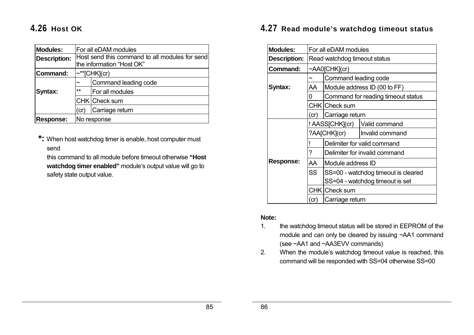# **4.26 Host OK**

| <b>Modules:</b>     | For all eDAM modules                                                        |                    |  |
|---------------------|-----------------------------------------------------------------------------|--------------------|--|
| <b>Description:</b> | Host send this command to all modules for send<br>the information "Host OK" |                    |  |
|                     |                                                                             |                    |  |
| Command:            |                                                                             | $\sim$ **[CHK](cr) |  |
|                     | Command leading code<br>$\tilde{\phantom{a}}$<br>$**$<br>For all modules    |                    |  |
| Syntax:             |                                                                             |                    |  |
|                     | CHK Check sum                                                               |                    |  |
|                     | Carriage return<br>(cr)                                                     |                    |  |
| Response:           | No response                                                                 |                    |  |

**\*:** When host watchdog timer is enable, host computer must send

this command to all module before timeout otherwise **"Host watchdog timer enabled"** module's output value will go to safety state output value.

### **4.27 Read module's watchdog timeout status**

| <b>Modules:</b>     | For all eDAM modules         |                                     |                                    |  |
|---------------------|------------------------------|-------------------------------------|------------------------------------|--|
| <b>Description:</b> | Read watchdog timeout status |                                     |                                    |  |
| Command:            | ~AA0[CHK](cr)                |                                     |                                    |  |
|                     | ~                            | Command leading code                |                                    |  |
| Syntax:             | AA                           |                                     | Module address ID (00 to FF)       |  |
|                     | 0                            |                                     | Command for reading timeout status |  |
|                     |                              | CHK Check sum                       |                                    |  |
|                     | (cr)                         | Carriage return                     |                                    |  |
|                     |                              | ! AASS[CHK](cr)                     | Valid command                      |  |
|                     | ?AA[CHK](cr)                 |                                     | Invalid command                    |  |
|                     |                              | Delimiter for valid command         |                                    |  |
|                     | ?                            | Delimiter for invalid command       |                                    |  |
| <b>Response:</b>    | AA                           | Module address ID                   |                                    |  |
|                     | <b>SS</b>                    | SS=00 - watchdog timeout is cleared |                                    |  |
|                     |                              |                                     | SS=04 - watchdog timeout is set    |  |
|                     |                              | CHK Check sum                       |                                    |  |
|                     | (cr)                         | Carriage return                     |                                    |  |

#### **Note:**

- 1. the watchdog timeout status will be stored in EEPROM of the module and can only be cleared by issuing ~AA1 command (see ~AA1 and ~AA3EVV commands)
- 2. When the module's watchdog timeout value is reached, this command will be responded with SS=04 otherwise SS=00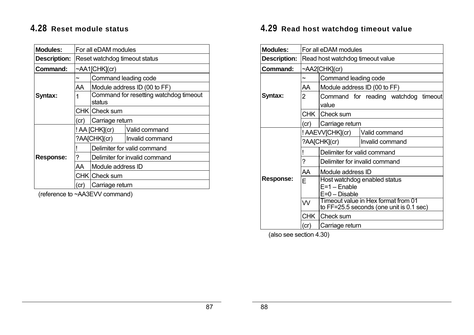# **4.28 Reset module status**

| <b>Modules:</b>     | For all eDAM modules          |                                                  |                               |  |
|---------------------|-------------------------------|--------------------------------------------------|-------------------------------|--|
| <b>Description:</b> | Reset watchdog timeout status |                                                  |                               |  |
| Command:            | $\sim$ AA1[CHK](cr)           |                                                  |                               |  |
|                     | Command leading code<br>~     |                                                  |                               |  |
|                     | AA                            |                                                  | Module address ID (00 to FF)  |  |
| Syntax:             | 1                             | Command for resetting watchdog timeout<br>status |                               |  |
|                     |                               | CHK Check sum                                    |                               |  |
|                     | Carriage return<br>(cr)       |                                                  |                               |  |
|                     |                               | ! AA [CHK](cr)                                   | Valid command                 |  |
|                     |                               | ?AA[CHK](cr)                                     | Invalid command               |  |
|                     |                               |                                                  | Delimiter for valid command   |  |
| <b>Response:</b>    | ?                             |                                                  | Delimiter for invalid command |  |
|                     | AA                            | Module address ID                                |                               |  |
|                     | CHK Check sum                 |                                                  |                               |  |
|                     | (cr                           | Carriage return                                  |                               |  |

(reference to ~AA3EVV command)

# **4.29 Read host watchdog timeout value**

| <b>Modules:</b>     | For all eDAM modules             |                                                                                 |                 |  |
|---------------------|----------------------------------|---------------------------------------------------------------------------------|-----------------|--|
| <b>Description:</b> | Read host watchdog timeout value |                                                                                 |                 |  |
| Command:            |                                  | ~AA2[CHK](cr)                                                                   |                 |  |
|                     |                                  | Command leading code                                                            |                 |  |
|                     | AA                               | Module address ID (00 to FF)                                                    |                 |  |
| Syntax:             | 2                                | Command for reading watchdog<br>timeout<br>value                                |                 |  |
|                     |                                  | CHK Check sum                                                                   |                 |  |
|                     | (cr)                             | Carriage return                                                                 |                 |  |
|                     |                                  | ! AAEVV[CHK](cr)<br>Valid command                                               |                 |  |
|                     | ?AA[CHK](cr)                     |                                                                                 | Invalid command |  |
|                     |                                  | Delimiter for valid command                                                     |                 |  |
|                     | ?                                | Delimiter for invalid command                                                   |                 |  |
|                     | AA                               | Module address ID                                                               |                 |  |
| <b>Response:</b>    | E                                | Host watchdog enabled status<br>$E=1 -$ Enable<br>$E=0$ – Disable               |                 |  |
|                     | W                                | Timeout value in Hex format from 01<br>to FF=25.5 seconds (one unit is 0.1 sec) |                 |  |
|                     | <b>CHK</b>                       | Check sum                                                                       |                 |  |
|                     | (cr)                             | Carriage return                                                                 |                 |  |

(also see section 4.30)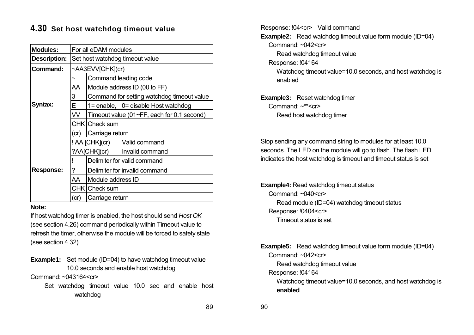# **4.30 Set host watchdog timeout value**

| <b>Modules:</b>     | For all eDAM modules            |                                            |                                            |  |
|---------------------|---------------------------------|--------------------------------------------|--------------------------------------------|--|
| <b>Description:</b> | Set host watchdog timeout value |                                            |                                            |  |
| Command:            | ~AA3EVV[CHK](cr)                |                                            |                                            |  |
|                     |                                 | Command leading code                       |                                            |  |
|                     | AA                              | Module address ID (00 to FF)               |                                            |  |
|                     | 3                               |                                            | Command for setting watchdog timeout value |  |
| Syntax:             | E.                              |                                            | $1 =$ enable, $0 =$ disable Host watchdog  |  |
|                     | VV.                             | Timeout value (01~FF, each for 0.1 second) |                                            |  |
|                     |                                 | CHK Check sum                              |                                            |  |
|                     | (cr)                            | Carriage return                            |                                            |  |
|                     | ! AA [CHK](cr)                  |                                            | Valid command                              |  |
|                     |                                 | ?AA[CHK](cr)                               | Invalid command                            |  |
|                     |                                 | Delimiter for valid command                |                                            |  |
| <b>Response:</b>    | ?                               | Delimiter for invalid command              |                                            |  |
|                     | AA                              | Module address ID                          |                                            |  |
|                     |                                 | CHK Check sum                              |                                            |  |
|                     | (cr)                            | Carriage return                            |                                            |  |

#### **Note:**

If host watchdog timer is enabled, the host should send *Host OK* (see section 4.26) command periodically within Timeout value to refresh the timer, otherwise the module will be forced to safety state (see section 4.32)

**Example1:** Set module (ID=04) to have watchdog timeout value 10.0 seconds and enable host watchdog

Command: ~043164<cr>

Set watchdog timeout value 10.0 sec and enable host watchdog

Response: !04<cr> Valid command

**Example2:** Read watchdog timeout value form module (ID=04)

Command:  $\sim 042$ <cr>

Read watchdog timeout value

Response: !04164

Watchdog timeout value=10.0 seconds, and host watchdog is enabled

**Example3:** Reset watchdog timer Command:  $\sim$ \*\* $\lt$ cr $>$ 

Read host watchdog timer

Stop sending any command string to modules for at least 10.0 seconds. The LED on the module will go to flash. The flash LED indicates the host watchdog is timeout and timeout status is set

**Example4:** Read watchdog timeout status Command:  $~040~<$ cr $>$ Read module (ID=04) watchdog timeout status Response: !0404<cr> Timeout status is set

**Example5:** Read watchdog timeout value form module (ID=04)

Command: ~042<cr>

Read watchdog timeout value

Response: !04164

Watchdog timeout value=10.0 seconds, and host watchdog is **enabled**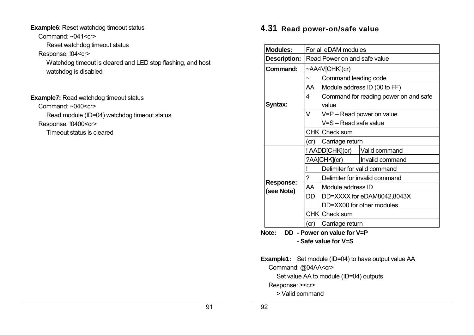#### **Example6**: Reset watchdog timeout status

Command:  $~141$  <cr>

Reset watchdog timeout status

### Response: !04<cr>

Watchdog timeout is cleared and LED stop flashing, and host watchdog is disabled

**Example7: Read watchdog timeout status** Command: ~040<cr> Read module (ID=04) watchdog timeout status Response: !0400<cr> Timeout status is cleared

# **4.31 Read power-on/safe value**

| <b>Modules:</b>                | For all eDAM modules         |                                                    |                           |  |
|--------------------------------|------------------------------|----------------------------------------------------|---------------------------|--|
| <b>Description:</b>            | Read Power on and safe value |                                                    |                           |  |
| <b>Command:</b>                | ~AA4V[CHK](cr)               |                                                    |                           |  |
|                                |                              | Command leading code                               |                           |  |
|                                | AA                           | Module address ID (00 to FF)                       |                           |  |
| Syntax:                        | 4                            | Command for reading power on and safe<br>value     |                           |  |
|                                | V                            | V=P - Read power on value<br>V=S - Read safe value |                           |  |
|                                |                              | CHK Check sum                                      |                           |  |
|                                | (cr)                         | Carriage return                                    |                           |  |
|                                | ! AADD[CHK](cr)              |                                                    | Valid command             |  |
|                                | ?AA[CHK](cr)                 |                                                    | Invalid command           |  |
|                                |                              | Delimiter for valid command                        |                           |  |
|                                | ?                            | Delimiter for invalid command                      |                           |  |
| <b>Response:</b><br>(see Note) | AA                           | Module address ID                                  |                           |  |
|                                | DD                           | DD=XXXX for eDAM8042,8043X                         |                           |  |
|                                |                              |                                                    | DD=XX00 for other modules |  |
|                                |                              | CHK Check sum                                      |                           |  |
|                                | (cr)                         | Carriage return                                    |                           |  |
| nn                             |                              | .I <i>E.</i> \/   M                                |                           |  |

**Note: DD - Power on value for V=P - Safe value for V=S** 

**Example1:** Set module (ID=04) to have output value AA

Command: @04AA<cr>

Set value AA to module (ID=04) outputs

Response: ><cr>

> Valid command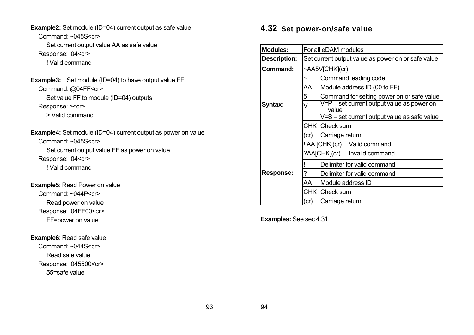**Example2:** Set module (ID=04) current output as safe value Command: ~045S<cr> Set current output value AA as safe value Response: !04<cr> ! Valid command

- **Example3:** Set module (ID=04) to have output value FF Command: @04FF<cr> Set value FF to module (ID=04) outputs Response: ><cr> > Valid command
- **Example4:** Set module (ID=04) current output as power on value Command: ~045S<cr> Set current output value FF as power on value Response: !04<cr> ! Valid command

**Example5**: Read Power on value Command: ~044P<cr> Read power on value Response: !04FF00<cr> FF=power on value

#### **Example6**: Read safe value

Command: ~044S<cr> Read safe value Response: !045500<cr> 55=safe value

### **4.32 Set power-on/safe value**

| <b>Modules:</b>     | For all eDAM modules                               |                                              |                                            |  |  |
|---------------------|----------------------------------------------------|----------------------------------------------|--------------------------------------------|--|--|
| <b>Description:</b> | Set current output value as power on or safe value |                                              |                                            |  |  |
| Command:            | ~AA5V[CHK](cr)                                     |                                              |                                            |  |  |
|                     |                                                    | Command leading code                         |                                            |  |  |
|                     | AA                                                 | Module address ID (00 to FF)                 |                                            |  |  |
|                     | 5                                                  |                                              | Command for setting power on or safe value |  |  |
| Syntax:             | V                                                  | value                                        | V=P – set current output value as power on |  |  |
|                     |                                                    | V=S – set current output value as safe value |                                            |  |  |
|                     |                                                    | CHK   Check sum                              |                                            |  |  |
|                     | (cr)                                               | Carriage return                              |                                            |  |  |
|                     | ! AA [CHK](cr)                                     |                                              | Valid command                              |  |  |
|                     |                                                    | ?AA[CHK](cr)                                 | Invalid command                            |  |  |
|                     |                                                    | Delimiter for valid command                  |                                            |  |  |
| <b>Response:</b>    | ?                                                  | Delimiter for valid command                  |                                            |  |  |
|                     | AA                                                 | Module address ID                            |                                            |  |  |
|                     |                                                    | CHK   Check sum                              |                                            |  |  |
|                     | (cr)                                               | Carriage return                              |                                            |  |  |

**Examples:** See sec.4.31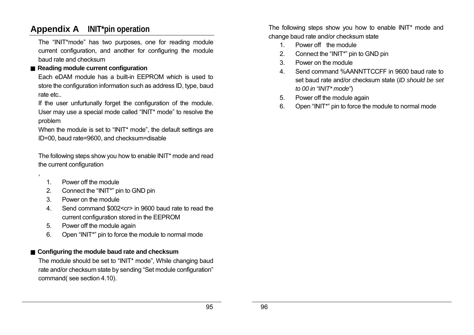# **Appendix A INIT\*pin operation**

The "INIT\*mode" has two purposes, one for reading module current configuration, and another for configuring the module baud rate and checksum

### ■ Reading module current configuration

Each eDAM module has a built-in EEPROM which is used to store the configuration information such as address ID, type, baud rate etc..

If the user unfurtunally forget the configuration of the module. User may use a special mode called "INIT\* mode" to resolve the problem

When the module is set to "INIT\* mode", the default settings are ID=00, baud rate=9600, and checksum=disable

The following steps show you how to enable INIT\* mode and read the current configuration

1. Power off the module

,

- 2. Connect the "INIT\*" pin to GND pin
- 3. Power on the module
- 4. Send command \$002<cr> in 9600 baud rate to read the current configuration stored in the EEPROM
- 5. Power off the module again
- 6. Open "INIT\*" pin to force the module to normal mode

### ■ Configuring the module baud rate and checksum

The module should be set to "INIT\* mode", While changing baud rate and/or checksum state by sending "Set module configuration" command( see section 4.10).

The following steps show you how to enable INIT\* mode and change baud rate and/or checksum state

- 1. Power off the module
- 2. Connect the "INIT\*" pin to GND pin
- 3. Power on the module
- 4. Send command %AANNTTCCFF in 9600 baud rate to set baud rate and/or checksum state (*ID should be set to 00 in "INIT\* mode"*)
- 5. Power off the module again
- 6. Open "INIT\*" pin to force the module to normal mode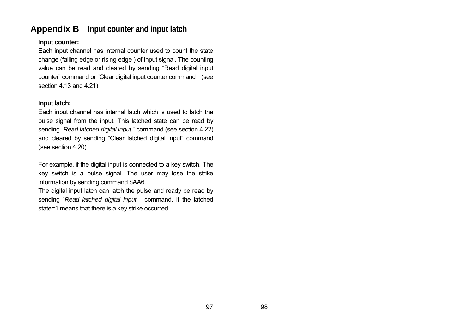# **Appendix B Input counter and input latch**

#### **Input counter:**

Each input channel has internal counter used to count the state change (falling edge or rising edge ) of input signal. The counting value can be read and cleared by sending "Read digital input counter" command or "Clear digital input counter command (see section 4.13 and 4.21)

### **Input latch:**

Each input channel has internal latch which is used to latch the pulse signal from the input. This latched state can be read by sending "*Read latched digital input* " command (see section 4.22) and cleared by sending "Clear latched digital input" command (see section 4.20)

For example, if the digital input is connected to a key switch. The key switch is a pulse signal. The user may lose the strike information by sending command \$AA6.

The digital input latch can latch the pulse and ready be read by sending "*Read latched digital input* " command. If the latched state=1 means that there is a key strike occurred.